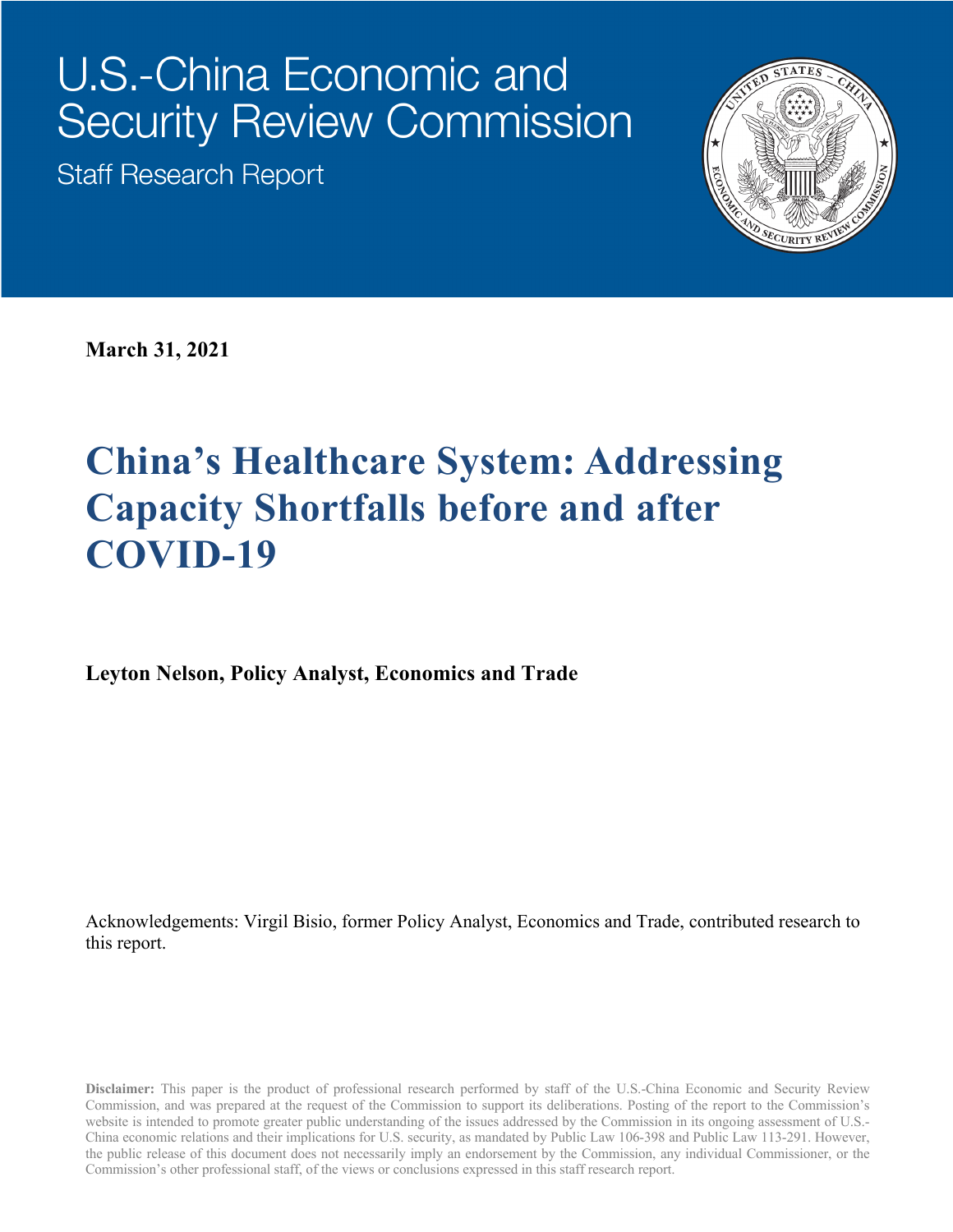# U.S.-China Economic and **Security Review Commission**

**Staff Research Report** 



**March 31, 2021**

# **China's Healthcare System: Addressing Capacity Shortfalls before and after COVID-19**

**Leyton Nelson, Policy Analyst, Economics and Trade**

Acknowledgements: Virgil Bisio, former Policy Analyst, Economics and Trade, contributed research to this report.

**Disclaimer:** This paper is the product of professional research performed by staff of the U.S.-China Economic and Security Review Commission, and was prepared at the request of the Commission to support its deliberations. Posting of the report to the Commission's website is intended to promote greater public understanding of the issues addressed by the Commission in its ongoing assessment of U.S.- China economic relations and their implications for U.S. security, as mandated by Public Law 106-398 and Public Law 113-291. However, the public release of this document does not necessarily imply an endorsement by the Commission, any individual Commissioner, or the Commission's other professional staff, of the views or conclusions expressed in this staff research report.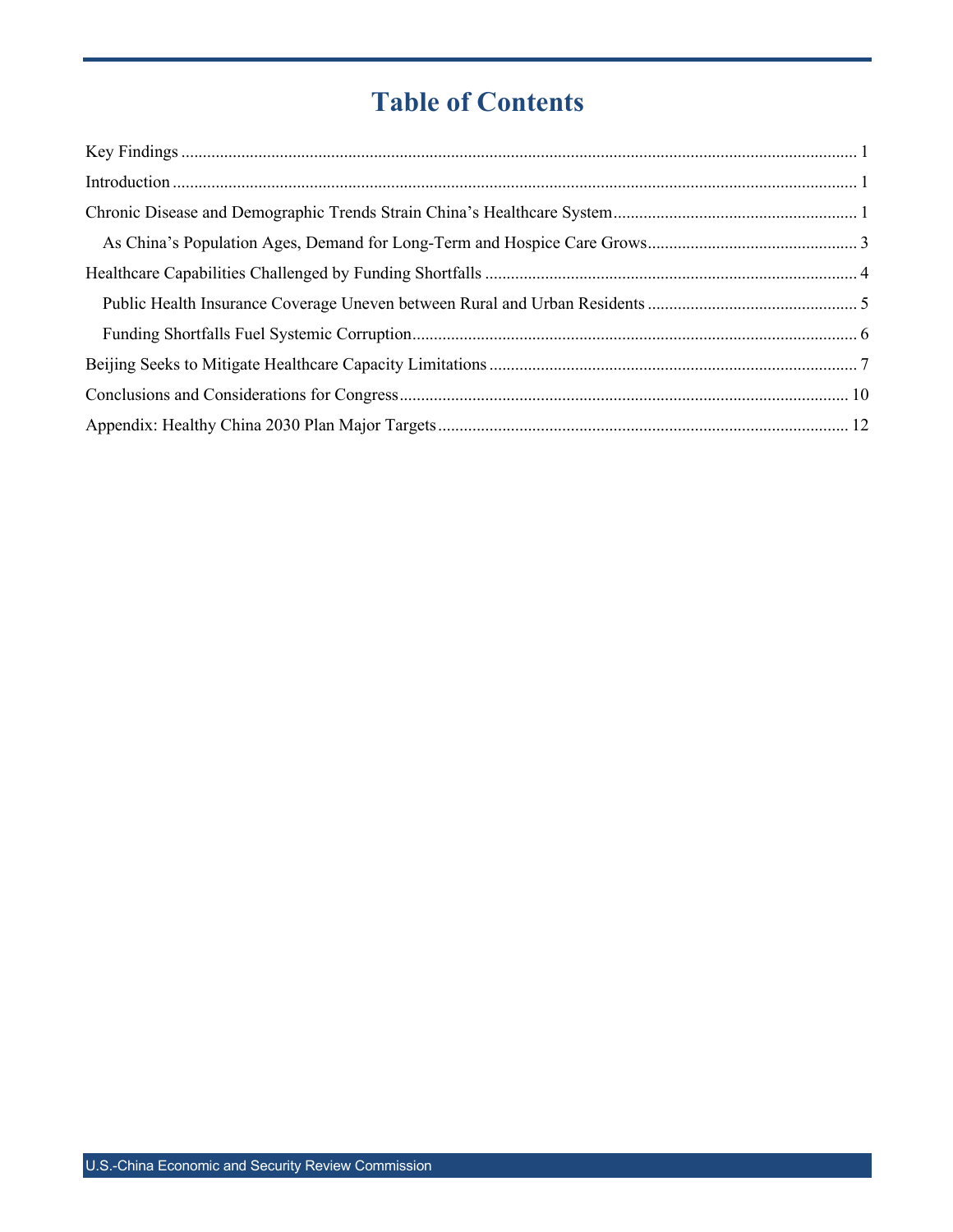## **Table of Contents**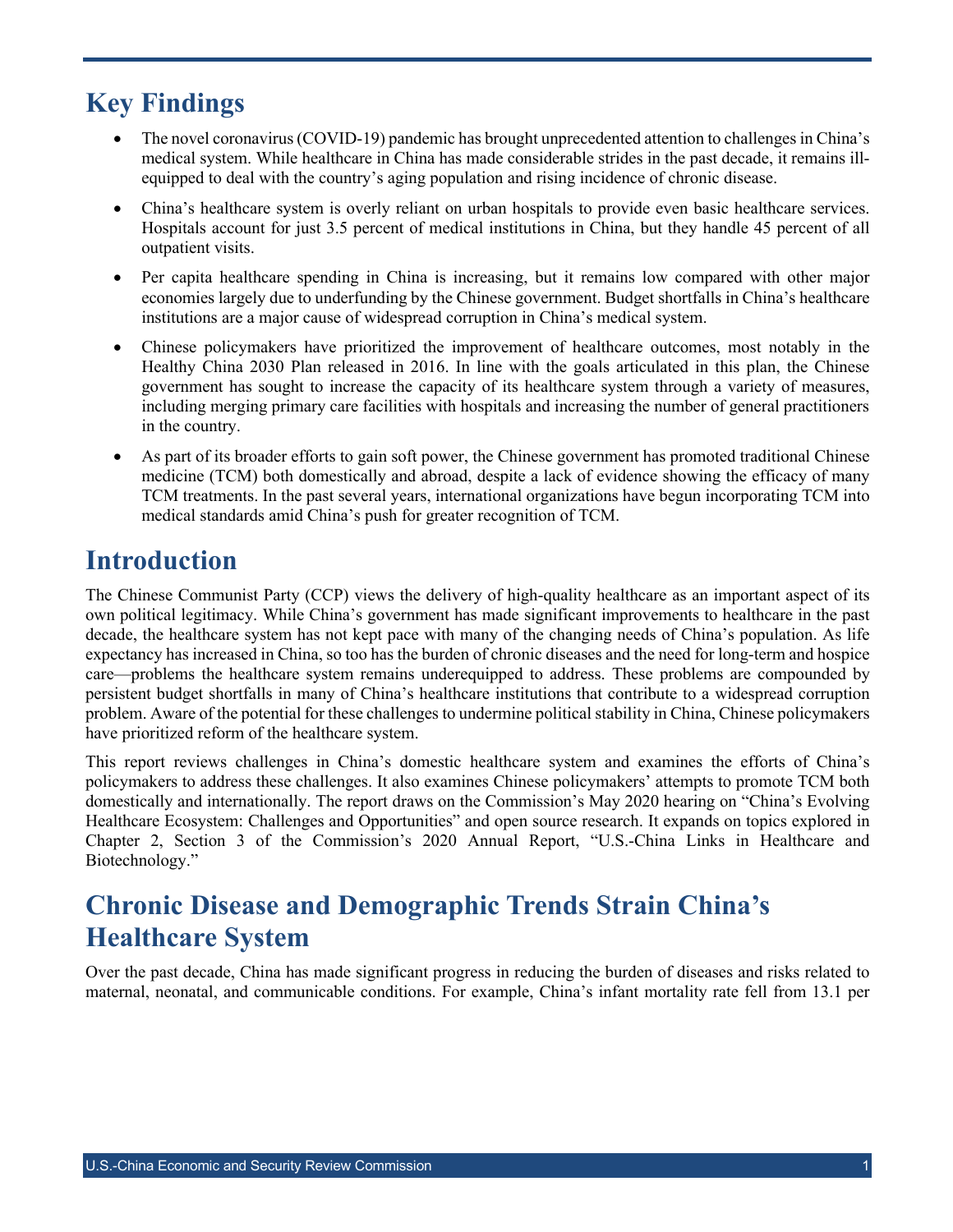### **Key Findings**

- The novel coronavirus (COVID-19) pandemic has brought unprecedented attention to challenges in China's medical system. While healthcare in China has made considerable strides in the past decade, it remains illequipped to deal with the country's aging population and rising incidence of chronic disease.
- China's healthcare system is overly reliant on urban hospitals to provide even basic healthcare services. Hospitals account for just 3.5 percent of medical institutions in China, but they handle 45 percent of all outpatient visits.
- Per capita healthcare spending in China is increasing, but it remains low compared with other major economies largely due to underfunding by the Chinese government. Budget shortfalls in China's healthcare institutions are a major cause of widespread corruption in China's medical system.
- Chinese policymakers have prioritized the improvement of healthcare outcomes, most notably in the Healthy China 2030 Plan released in 2016. In line with the goals articulated in this plan, the Chinese government has sought to increase the capacity of its healthcare system through a variety of measures, including merging primary care facilities with hospitals and increasing the number of general practitioners in the country.
- As part of its broader efforts to gain soft power, the Chinese government has promoted traditional Chinese medicine (TCM) both domestically and abroad, despite a lack of evidence showing the efficacy of many TCM treatments. In the past several years, international organizations have begun incorporating TCM into medical standards amid China's push for greater recognition of TCM.

### **Introduction**

The Chinese Communist Party (CCP) views the delivery of high-quality healthcare as an important aspect of its own political legitimacy. While China's government has made significant improvements to healthcare in the past decade, the healthcare system has not kept pace with many of the changing needs of China's population. As life expectancy has increased in China, so too has the burden of chronic diseases and the need for long-term and hospice care—problems the healthcare system remains underequipped to address. These problems are compounded by persistent budget shortfalls in many of China's healthcare institutions that contribute to a widespread corruption problem. Aware of the potential for these challenges to undermine political stability in China, Chinese policymakers have prioritized reform of the healthcare system.

This report reviews challenges in China's domestic healthcare system and examines the efforts of China's policymakers to address these challenges. It also examines Chinese policymakers' attempts to promote TCM both domestically and internationally. The report draws on the Commission's May 2020 hearing on "China's Evolving Healthcare Ecosystem: Challenges and Opportunities" and open source research. It expands on topics explored in Chapter 2, Section 3 of the Commission's 2020 Annual Report, "U.S.-China Links in Healthcare and Biotechnology."

### **Chronic Disease and Demographic Trends Strain China's Healthcare System**

Over the past decade, China has made significant progress in reducing the burden of diseases and risks related to maternal, neonatal, and communicable conditions. For example, China's infant mortality rate fell from 13.1 per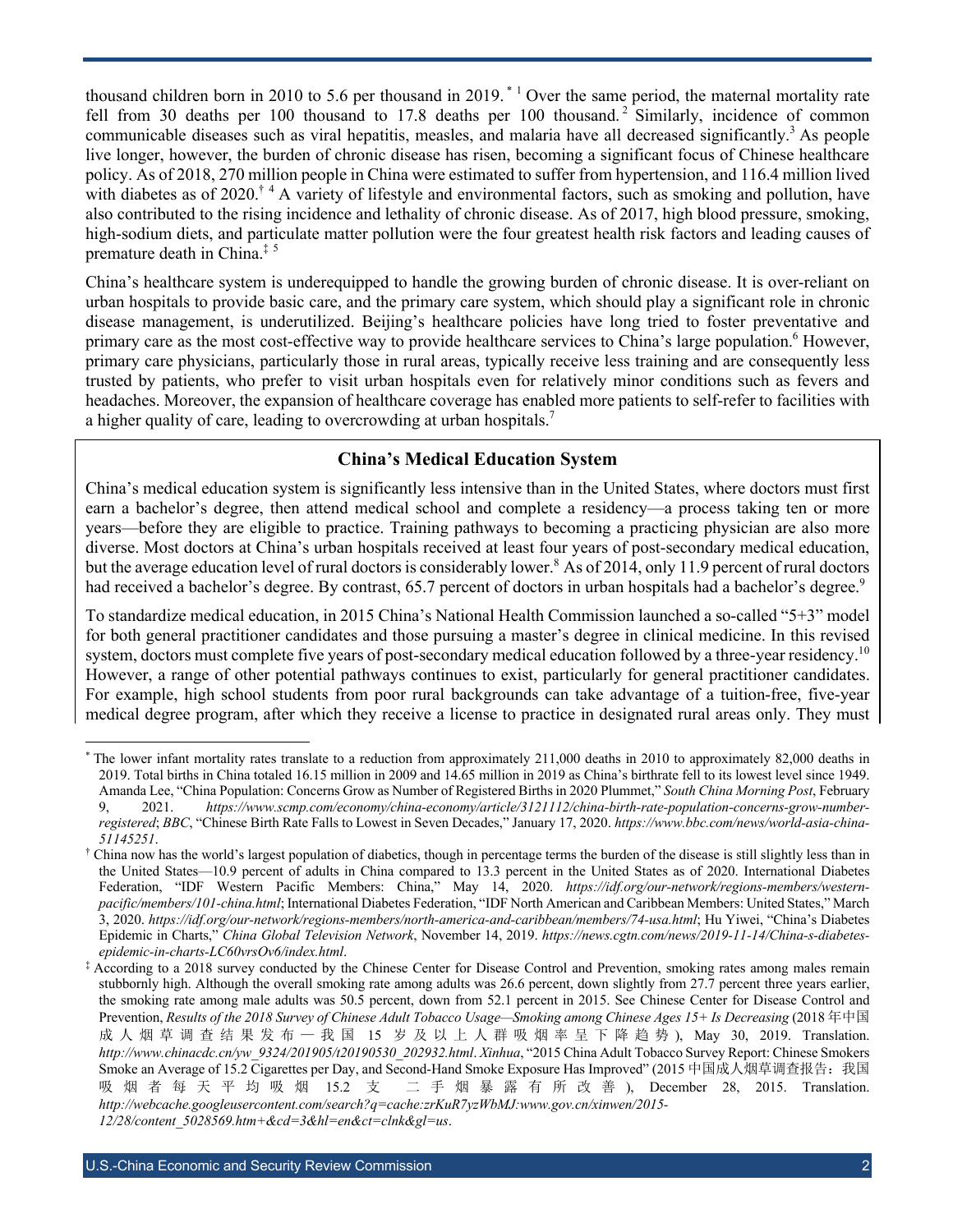thousand children born in 2010 to 5.6 per thousand in 2019.<sup>\*</sup> <sup>1</sup> Over the same period, the maternal mortality rate fell from 30 deaths per 100 thousand to 17.8 deaths per 100 thousand.<sup>2</sup> Similarly, incidence of common communicable diseases such as viral hepatitis, measles, and malaria have all decreased significantly.<sup>3</sup> As people live longer, however, the burden of chronic disease has risen, becoming a significant focus of Chinese healthcare policy. As of 2018, 270 million people in China were estimated to suffer from hypertension, and 116.4 million lived with diabetes as of 2020.<sup>† 4</sup> A variety of lifestyle and environmental factors, such as smoking and pollution, have also contributed to the rising incidence and lethality of chronic disease. As of 2017, high blood pressure, smoking, high-sodium diets, and particulate matter pollution were the four greatest health risk factors and leading causes of premature death in China.‡ <sup>5</sup>

China's healthcare system is underequipped to handle the growing burden of chronic disease. It is over-reliant on urban hospitals to provide basic care, and the primary care system, which should play a significant role in chronic disease management, is underutilized. Beijing's healthcare policies have long tried to foster preventative and primary care as the most cost-effective way to provide healthcare services to China's large population.<sup>6</sup> However, primary care physicians, particularly those in rural areas, typically receive less training and are consequently less trusted by patients, who prefer to visit urban hospitals even for relatively minor conditions such as fevers and headaches. Moreover, the expansion of healthcare coverage has enabled more patients to self-refer to facilities with a higher quality of care, leading to overcrowding at urban hospitals.<sup>7</sup>

#### **China's Medical Education System**

China's medical education system is significantly less intensive than in the United States, where doctors must first earn a bachelor's degree, then attend medical school and complete a residency—a process taking ten or more years—before they are eligible to practice. Training pathways to becoming a practicing physician are also more diverse. Most doctors at China's urban hospitals received at least four years of post-secondary medical education, but the average education level of rural doctors is considerably lower.<sup>8</sup> As of 2014, only 11.9 percent of rural doctors had received a bachelor's degree. By contrast, 65.7 percent of doctors in urban hospitals had a bachelor's degree.<sup>9</sup>

To standardize medical education, in 2015 China's National Health Commission launched a so-called "5+3" model for both general practitioner candidates and those pursuing a master's degree in clinical medicine. In this revised system, doctors must complete five years of post-secondary medical education followed by a three-year residency.<sup>10</sup> However, a range of other potential pathways continues to exist, particularly for general practitioner candidates. For example, high school students from poor rural backgrounds can take advantage of a tuition-free, five-year medical degree program, after which they receive a license to practice in designated rural areas only. They must

The lower infant mortality rates translate to a reduction from approximately 211,000 deaths in 2010 to approximately 82,000 deaths in 2019. Total births in China totaled 16.15 million in 2009 and 14.65 million in 2019 as China's birthrate fell to its lowest level since 1949. Amanda Lee, "China Population: Concerns Grow as Number of Registered Births in 2020 Plummet," *South China Morning Post*, February 9, 2021. *https://www.scmp.com/economy/china-economy/article/3121112/china-birth-rate-population-concerns-grow-numberregistered*; *BBC*, "Chinese Birth Rate Falls to Lowest in Seven Decades," January 17, 2020. *https://www.bbc.com/news/world-asia-china-51145251*.

<sup>†</sup> China now has the world's largest population of diabetics, though in percentage terms the burden of the disease is still slightly less than in the United States—10.9 percent of adults in China compared to 13.3 percent in the United States as of 2020. International Diabetes Federation, "IDF Western Pacific Members: China," May 14, 2020. *https://idf.org/our-network/regions-members/westernpacific/members/101-china.html*; International Diabetes Federation, "IDF North American and Caribbean Members: United States," March 3, 2020. *https://idf.org/our-network/regions-members/north-america-and-caribbean/members/74-usa.html*; Hu Yiwei, "China's Diabetes Epidemic in Charts," *China Global Television Network*, November 14, 2019. *https://news.cgtn.com/news/2019-11-14/China-s-diabetesepidemic-in-charts-LC60vrsOv6/index.html*.

<sup>‡</sup> According to a 2018 survey conducted by the Chinese Center for Disease Control and Prevention, smoking rates among males remain stubbornly high. Although the overall smoking rate among adults was 26.6 percent, down slightly from 27.7 percent three years earlier, the smoking rate among male adults was 50.5 percent, down from 52.1 percent in 2015. See Chinese Center for Disease Control and Prevention, *Results of the 2018 Survey of Chinese Adult Tobacco Usage—Smoking among Chinese Ages 15+ Is Decreasing* (2018 年中国 成人烟草调查结果发布 — 我 国 15 岁及以上人群吸烟率呈下降趋势 ), May 30, 2019. Translation. *http://www.chinacdc.cn/yw\_9324/201905/t20190530\_202932.html*. *Xinhua*, "2015 China Adult Tobacco Survey Report: Chinese Smokers Smoke an Average of 15.2 Cigarettes per Day, and Second-Hand Smoke Exposure Has Improved" (2015 中国成人烟草调查报告: 我国 吸烟者每天平均吸烟 15.2 支 二手烟暴露有所改善 ), December 28, 2015. Translation. *http://webcache.googleusercontent.com/search?q=cache:zrKuR7yzWbMJ:www.gov.cn/xinwen/2015- 12/28/content\_5028569.htm+&cd=3&hl=en&ct=clnk&gl=us*.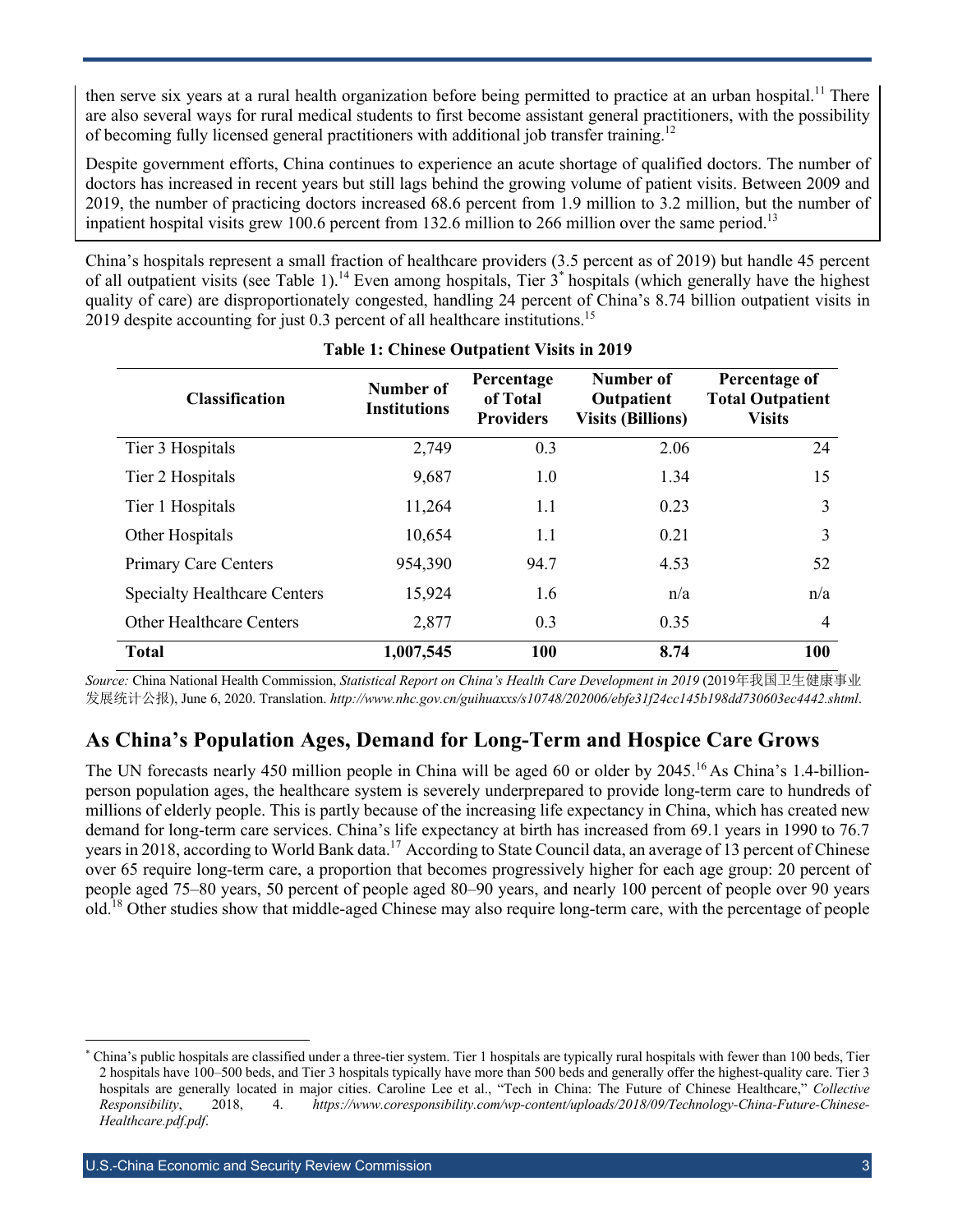then serve six years at a rural health organization before being permitted to practice at an urban hospital.<sup>11</sup> There are also several ways for rural medical students to first become assistant general practitioners, with the possibility of becoming fully licensed general practitioners with additional job transfer training.<sup>12</sup>

Despite government efforts, China continues to experience an acute shortage of qualified doctors. The number of doctors has increased in recent years but still lags behind the growing volume of patient visits. Between 2009 and 2019, the number of practicing doctors increased 68.6 percent from 1.9 million to 3.2 million, but the number of inpatient hospital visits grew 100.6 percent from 132.6 million to 266 million over the same period.<sup>13</sup>

China's hospitals represent a small fraction of healthcare providers (3.5 percent as of 2019) but handle 45 percent of all outpatient visits (see Table 1).<sup>14</sup> Even among hospitals, Tier  $3^*$  hospitals (which generally have the highest quality of care) are disproportionately congested, handling 24 percent of China's 8.74 billion outpatient visits in 2019 despite accounting for just 0.3 percent of all healthcare institutions.<sup>15</sup>

| <b>Classification</b>               | <b>Number of</b><br><b>Institutions</b> | Percentage<br>of Total<br><b>Providers</b> | Number of<br>Outpatient<br><b>Visits (Billions)</b> | Percentage of<br><b>Total Outpatient</b><br><b>Visits</b> |
|-------------------------------------|-----------------------------------------|--------------------------------------------|-----------------------------------------------------|-----------------------------------------------------------|
| Tier 3 Hospitals                    | 2,749                                   | 0.3                                        | 2.06                                                | 24                                                        |
| Tier 2 Hospitals                    | 9,687                                   | 1.0                                        | 1.34                                                | 15                                                        |
| Tier 1 Hospitals                    | 11,264                                  | 1.1                                        | 0.23                                                | 3                                                         |
| Other Hospitals                     | 10,654                                  | 1.1                                        | 0.21                                                | 3                                                         |
| <b>Primary Care Centers</b>         | 954,390                                 | 94.7                                       | 4.53                                                | 52                                                        |
| <b>Specialty Healthcare Centers</b> | 15,924                                  | 1.6                                        | n/a                                                 | n/a                                                       |
| <b>Other Healthcare Centers</b>     | 2,877                                   | 0.3                                        | 0.35                                                | $\overline{4}$                                            |
| <b>Total</b>                        | 1,007,545                               | 100                                        | 8.74                                                | 100                                                       |

#### **Table 1: Chinese Outpatient Visits in 2019**

*Source:* China National Health Commission, *Statistical Report on China's Health Care Development in 2019* (2019年我国卫生健康事业 发展统计公报), June 6, 2020. Translation. *http://www.nhc.gov.cn/guihuaxxs/s10748/202006/ebfe31f24cc145b198dd730603ec4442.shtml*.

#### **As China's Population Ages, Demand for Long-Term and Hospice Care Grows**

The UN forecasts nearly 450 million people in China will be aged 60 or older by 2045.<sup>16</sup> As China's 1.4-billionperson population ages, the healthcare system is severely underprepared to provide long-term care to hundreds of millions of elderly people. This is partly because of the increasing life expectancy in China, which has created new demand for long-term care services. China's life expectancy at birth has increased from 69.1 years in 1990 to 76.7 years in 2018, according to World Bank data.17 According to State Council data, an average of 13 percent of Chinese over 65 require long-term care, a proportion that becomes progressively higher for each age group: 20 percent of people aged 75–80 years, 50 percent of people aged 80–90 years, and nearly 100 percent of people over 90 years old.<sup>18</sup> Other studies show that middle-aged Chinese may also require long-term care, with the percentage of people

<sup>\*</sup> China's public hospitals are classified under a three-tier system. Tier 1 hospitals are typically rural hospitals with fewer than 100 beds, Tier 2 hospitals have 100–500 beds, and Tier 3 hospitals typically have more than 500 beds and generally offer the highest-quality care. Tier 3 hospitals are generally located in major cities. Caroline Lee et al., "Tech in China: The Future of Chinese Healthcare," *Collective Responsibility*, 2018, 4. *https://www.coresponsibility.com/wp-content/uploads/2018/09/Technology-China-Future-Chinese-Healthcare.pdf.pdf*.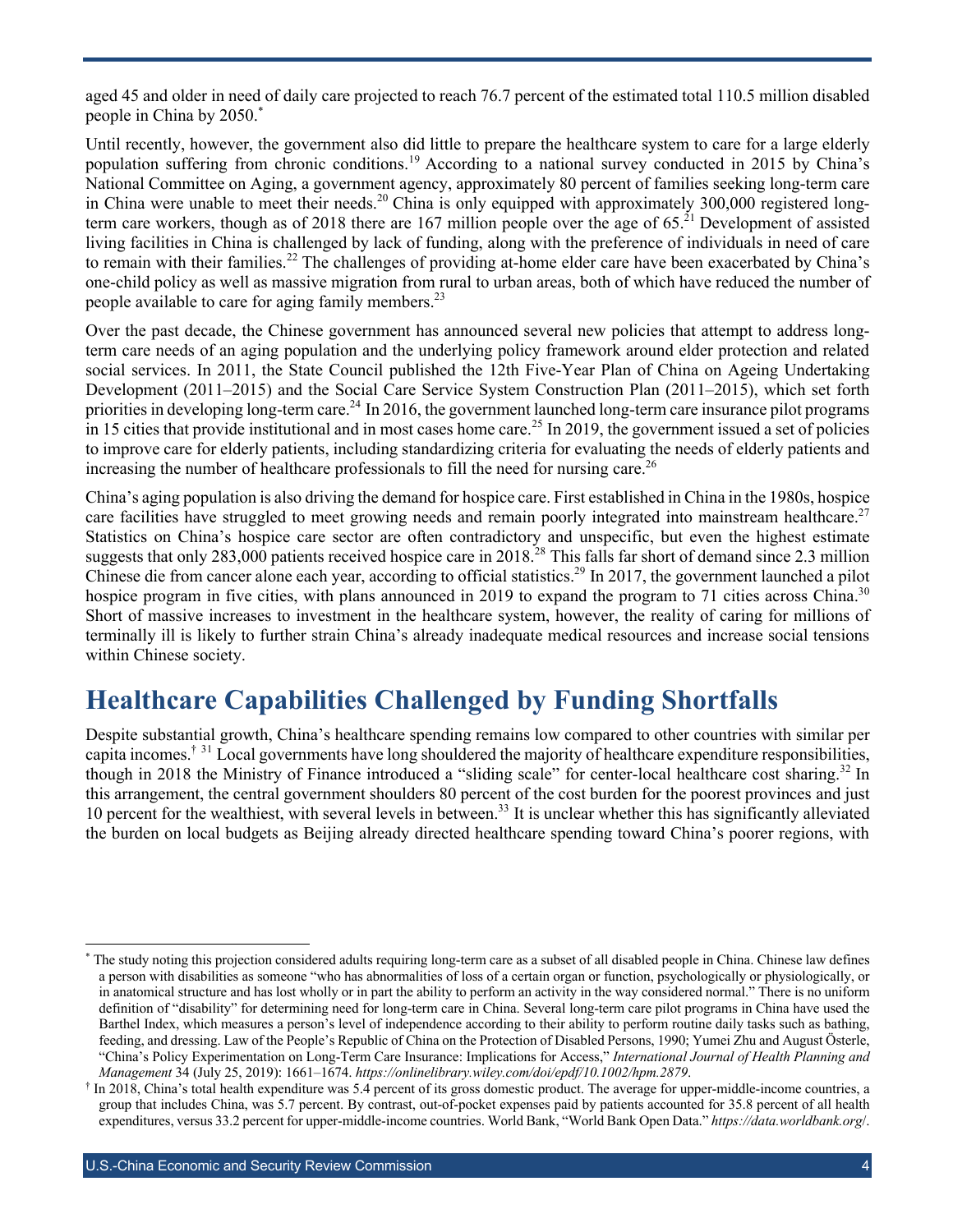aged 45 and older in need of daily care projected to reach 76.7 percent of the estimated total 110.5 million disabled people in China by 2050.\*

Until recently, however, the government also did little to prepare the healthcare system to care for a large elderly population suffering from chronic conditions.<sup>19</sup> According to a national survey conducted in 2015 by China's National Committee on Aging, a government agency, approximately 80 percent of families seeking long-term care in China were unable to meet their needs.<sup>20</sup> China is only equipped with approximately 300,000 registered longterm care workers, though as of 2018 there are 167 million people over the age of  $65.<sup>21</sup>$  Development of assisted living facilities in China is challenged by lack of funding, along with the preference of individuals in need of care to remain with their families.<sup>22</sup> The challenges of providing at-home elder care have been exacerbated by China's one-child policy as well as massive migration from rural to urban areas, both of which have reduced the number of people available to care for aging family members.<sup>23</sup>

Over the past decade, the Chinese government has announced several new policies that attempt to address longterm care needs of an aging population and the underlying policy framework around elder protection and related social services. In 2011, the State Council published the 12th Five-Year Plan of China on Ageing Undertaking Development (2011–2015) and the Social Care Service System Construction Plan (2011–2015), which set forth priorities in developing long-term care.<sup>24</sup> In 2016, the government launched long-term care insurance pilot programs in 15 cities that provide institutional and in most cases home care.<sup>25</sup> In 2019, the government issued a set of policies to improve care for elderly patients, including standardizing criteria for evaluating the needs of elderly patients and increasing the number of healthcare professionals to fill the need for nursing care.<sup>26</sup>

China's aging population is also driving the demand for hospice care. First established in China in the 1980s, hospice care facilities have struggled to meet growing needs and remain poorly integrated into mainstream healthcare.<sup>27</sup> Statistics on China's hospice care sector are often contradictory and unspecific, but even the highest estimate suggests that only  $283,000$  patients received hospice care in  $2018<sup>28</sup>$  This falls far short of demand since 2.3 million Chinese die from cancer alone each year, according to official statistics.<sup>29</sup> In 2017, the government launched a pilot hospice program in five cities, with plans announced in 2019 to expand the program to 71 cities across China.<sup>30</sup> Short of massive increases to investment in the healthcare system, however, the reality of caring for millions of terminally ill is likely to further strain China's already inadequate medical resources and increase social tensions within Chinese society.

### **Healthcare Capabilities Challenged by Funding Shortfalls**

Despite substantial growth, China's healthcare spending remains low compared to other countries with similar per capita incomes.<sup>† 31</sup> Local governments have long shouldered the majority of healthcare expenditure responsibilities, though in 2018 the Ministry of Finance introduced a "sliding scale" for center-local healthcare cost sharing.<sup>32</sup> In this arrangement, the central government shoulders 80 percent of the cost burden for the poorest provinces and just 10 percent for the wealthiest, with several levels in between.<sup>33</sup> It is unclear whether this has significantly alleviated the burden on local budgets as Beijing already directed healthcare spending toward China's poorer regions, with

The study noting this projection considered adults requiring long-term care as a subset of all disabled people in China. Chinese law defines a person with disabilities as someone "who has abnormalities of loss of a certain organ or function, psychologically or physiologically, or in anatomical structure and has lost wholly or in part the ability to perform an activity in the way considered normal." There is no uniform definition of "disability" for determining need for long-term care in China. Several long-term care pilot programs in China have used the Barthel Index, which measures a person's level of independence according to their ability to perform routine daily tasks such as bathing, feeding, and dressing. Law of the People's Republic of China on the Protection of Disabled Persons, 1990; Yumei Zhu and August Österle, "China's Policy Experimentation on Long-Term Care Insurance: Implications for Access," *International Journal of Health Planning and Management* 34 (July 25, 2019): 1661–1674. *https://onlinelibrary.wiley.com/doi/epdf/10.1002/hpm.2879*.

<sup>†</sup> In 2018, China's total health expenditure was 5.4 percent of its gross domestic product. The average for upper-middle-income countries, a group that includes China, was 5.7 percent. By contrast, out-of-pocket expenses paid by patients accounted for 35.8 percent of all health expenditures, versus 33.2 percent for upper-middle-income countries. World Bank, "World Bank Open Data." *https://data.worldbank.org*/.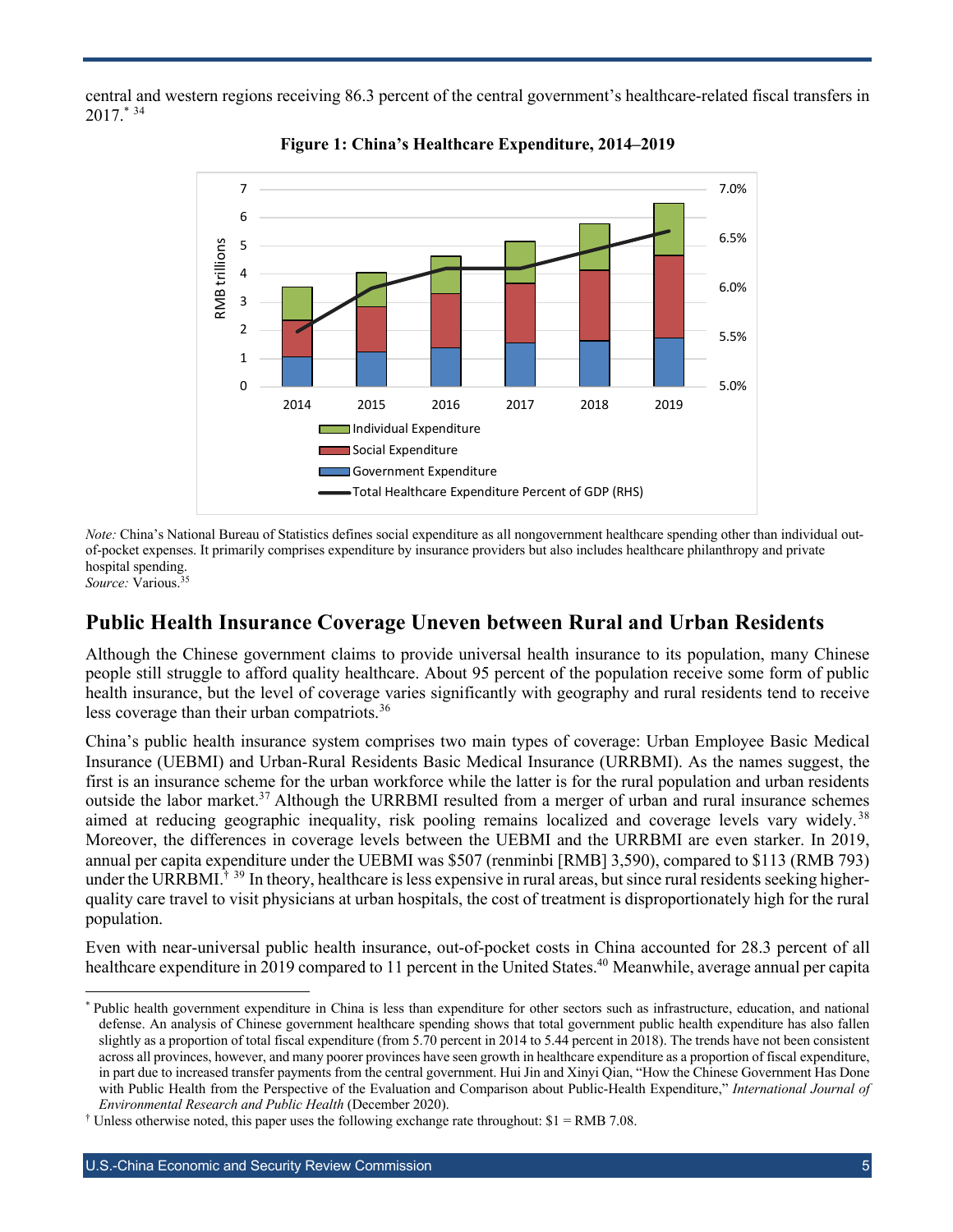central and western regions receiving 86.3 percent of the central government's healthcare-related fiscal transfers in 2017.\* <sup>34</sup>





*Note:* China's National Bureau of Statistics defines social expenditure as all nongovernment healthcare spending other than individual outof-pocket expenses. It primarily comprises expenditure by insurance providers but also includes healthcare philanthropy and private hospital spending.

*Source:* Various.35

#### **Public Health Insurance Coverage Uneven between Rural and Urban Residents**

Although the Chinese government claims to provide universal health insurance to its population, many Chinese people still struggle to afford quality healthcare. About 95 percent of the population receive some form of public health insurance, but the level of coverage varies significantly with geography and rural residents tend to receive less coverage than their urban compatriots.<sup>36</sup>

China's public health insurance system comprises two main types of coverage: Urban Employee Basic Medical Insurance (UEBMI) and Urban-Rural Residents Basic Medical Insurance (URRBMI). As the names suggest, the first is an insurance scheme for the urban workforce while the latter is for the rural population and urban residents outside the labor market.<sup>37</sup> Although the URRBMI resulted from a merger of urban and rural insurance schemes aimed at reducing geographic inequality, risk pooling remains localized and coverage levels vary widely.<sup>38</sup> Moreover, the differences in coverage levels between the UEBMI and the URRBMI are even starker. In 2019, annual per capita expenditure under the UEBMI was \$507 (renminbi [RMB] 3,590), compared to \$113 (RMB 793) under the URRBMI.<sup>† 39</sup> In theory, healthcare is less expensive in rural areas, but since rural residents seeking higherquality care travel to visit physicians at urban hospitals, the cost of treatment is disproportionately high for the rural population.

Even with near-universal public health insurance, out-of-pocket costs in China accounted for 28.3 percent of all healthcare expenditure in 2019 compared to 11 percent in the United States.<sup>40</sup> Meanwhile, average annual per capita

Public health government expenditure in China is less than expenditure for other sectors such as infrastructure, education, and national defense. An analysis of Chinese government healthcare spending shows that total government public health expenditure has also fallen slightly as a proportion of total fiscal expenditure (from 5.70 percent in 2014 to 5.44 percent in 2018). The trends have not been consistent across all provinces, however, and many poorer provinces have seen growth in healthcare expenditure as a proportion of fiscal expenditure, in part due to increased transfer payments from the central government. Hui Jin and Xinyi Qian, "How the Chinese Government Has Done with Public Health from the Perspective of the Evaluation and Comparison about Public-Health Expenditure," *International Journal of Environmental Research and Public Health* (December 2020).

<sup>&</sup>lt;sup>†</sup> Unless otherwise noted, this paper uses the following exchange rate throughout:  $$1 = \text{RMB } 7.08$ .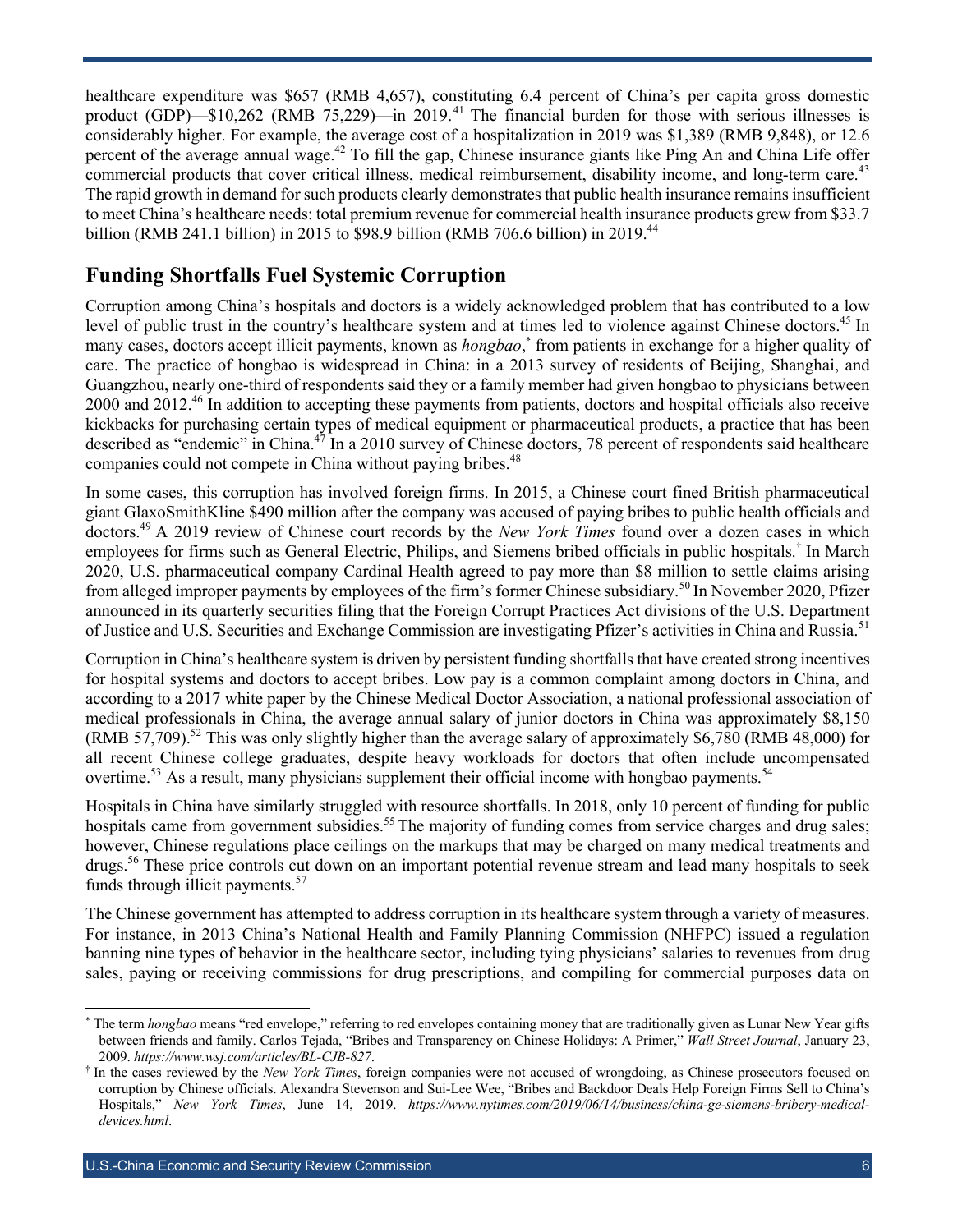healthcare expenditure was \$657 (RMB 4,657), constituting 6.4 percent of China's per capita gross domestic product (GDP)—\$10,262 (RMB 75,229)—in 2019.<sup>41</sup> The financial burden for those with serious illnesses is considerably higher. For example, the average cost of a hospitalization in 2019 was \$1,389 (RMB 9,848), or 12.6 percent of the average annual wage.<sup>42</sup> To fill the gap, Chinese insurance giants like Ping An and China Life offer commercial products that cover critical illness, medical reimbursement, disability income, and long-term care.<sup>43</sup> The rapid growth in demand for such products clearly demonstrates that public health insurance remains insufficient to meet China's healthcare needs: total premium revenue for commercial health insurance products grew from \$33.7 billion (RMB 241.1 billion) in 2015 to \$98.9 billion (RMB 706.6 billion) in 2019.<sup>44</sup>

#### **Funding Shortfalls Fuel Systemic Corruption**

Corruption among China's hospitals and doctors is a widely acknowledged problem that has contributed to a low level of public trust in the country's healthcare system and at times led to violence against Chinese doctors.<sup>45</sup> In many cases, doctors accept illicit payments, known as *hongbao*,<sup>\*</sup> from patients in exchange for a higher quality of care. The practice of hongbao is widespread in China: in a 2013 survey of residents of Beijing, Shanghai, and Guangzhou, nearly one-third of respondents said they or a family member had given hongbao to physicians between 2000 and 2012<sup>.46</sup> In addition to accepting these payments from patients, doctors and hospital officials also receive kickbacks for purchasing certain types of medical equipment or pharmaceutical products, a practice that has been described as "endemic" in China.<sup>47</sup> In a 2010 survey of Chinese doctors, 78 percent of respondents said healthcare companies could not compete in China without paying bribes.<sup>48</sup>

In some cases, this corruption has involved foreign firms. In 2015, a Chinese court fined British pharmaceutical giant GlaxoSmithKline \$490 million after the company was accused of paying bribes to public health officials and doctors.49 A 2019 review of Chinese court records by the *New York Times* found over a dozen cases in which employees for firms such as General Electric, Philips, and Siemens bribed officials in public hospitals. † In March 2020, U.S. pharmaceutical company Cardinal Health agreed to pay more than \$8 million to settle claims arising from alleged improper payments by employees of the firm's former Chinese subsidiary.<sup>50</sup> In November 2020, Pfizer announced in its quarterly securities filing that the Foreign Corrupt Practices Act divisions of the U.S. Department of Justice and U.S. Securities and Exchange Commission are investigating Pfizer's activities in China and Russia.<sup>51</sup>

Corruption in China's healthcare system is driven by persistent funding shortfalls that have created strong incentives for hospital systems and doctors to accept bribes. Low pay is a common complaint among doctors in China, and according to a 2017 white paper by the Chinese Medical Doctor Association, a national professional association of medical professionals in China, the average annual salary of junior doctors in China was approximately \$8,150 (RMB 57,709).<sup>52</sup> This was only slightly higher than the average salary of approximately \$6,780 (RMB 48,000) for all recent Chinese college graduates, despite heavy workloads for doctors that often include uncompensated overtime.<sup>53</sup> As a result, many physicians supplement their official income with hongbao payments.<sup>54</sup>

Hospitals in China have similarly struggled with resource shortfalls. In 2018, only 10 percent of funding for public hospitals came from government subsidies.<sup>55</sup> The majority of funding comes from service charges and drug sales; however, Chinese regulations place ceilings on the markups that may be charged on many medical treatments and drugs. <sup>56</sup> These price controls cut down on an important potential revenue stream and lead many hospitals to seek funds through illicit payments.<sup>57</sup>

The Chinese government has attempted to address corruption in its healthcare system through a variety of measures. For instance, in 2013 China's National Health and Family Planning Commission (NHFPC) issued a regulation banning nine types of behavior in the healthcare sector, including tying physicians' salaries to revenues from drug sales, paying or receiving commissions for drug prescriptions, and compiling for commercial purposes data on

<sup>\*</sup> The term *hongbao* means "red envelope," referring to red envelopes containing money that are traditionally given as Lunar New Year gifts between friends and family. Carlos Tejada, "Bribes and Transparency on Chinese Holidays: A Primer," *Wall Street Journal*, January 23, 2009. *https://www.wsj.com/articles/BL-CJB-827*.

<sup>†</sup> In the cases reviewed by the *New York Times*, foreign companies were not accused of wrongdoing, as Chinese prosecutors focused on corruption by Chinese officials. Alexandra Stevenson and Sui-Lee Wee, "Bribes and Backdoor Deals Help Foreign Firms Sell to China's Hospitals," *New York Times*, June 14, 2019. *https://www.nytimes.com/2019/06/14/business/china-ge-siemens-bribery-medicaldevices.html*.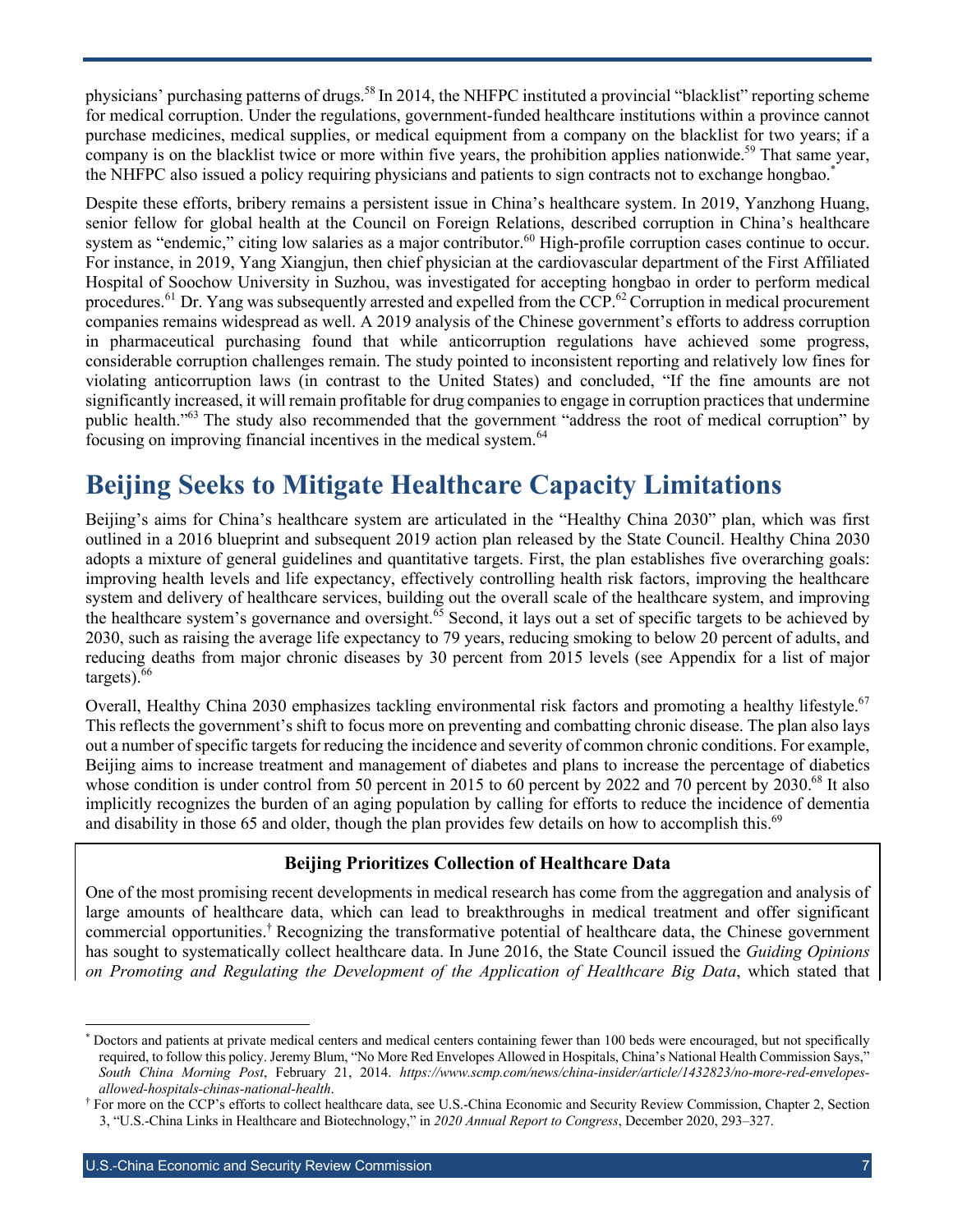physicians' purchasing patterns of drugs.<sup>58</sup> In 2014, the NHFPC instituted a provincial "blacklist" reporting scheme for medical corruption. Under the regulations, government-funded healthcare institutions within a province cannot purchase medicines, medical supplies, or medical equipment from a company on the blacklist for two years; if a company is on the blacklist twice or more within five years, the prohibition applies nationwide.<sup>59</sup> That same year, the NHFPC also issued a policy requiring physicians and patients to sign contracts not to exchange hongbao.\*

Despite these efforts, bribery remains a persistent issue in China's healthcare system. In 2019, Yanzhong Huang, senior fellow for global health at the Council on Foreign Relations, described corruption in China's healthcare system as "endemic," citing low salaries as a major contributor.<sup>60</sup> High-profile corruption cases continue to occur. For instance, in 2019, Yang Xiangjun, then chief physician at the cardiovascular department of the First Affiliated Hospital of Soochow University in Suzhou, was investigated for accepting hongbao in order to perform medical procedures.<sup>61</sup> Dr. Yang was subsequently arrested and expelled from the CCP.<sup>62</sup> Corruption in medical procurement companies remains widespread as well. A 2019 analysis of the Chinese government's efforts to address corruption in pharmaceutical purchasing found that while anticorruption regulations have achieved some progress, considerable corruption challenges remain. The study pointed to inconsistent reporting and relatively low fines for violating anticorruption laws (in contrast to the United States) and concluded, "If the fine amounts are not significantly increased, it will remain profitable for drug companies to engage in corruption practices that undermine public health."<sup>63</sup> The study also recommended that the government "address the root of medical corruption" by focusing on improving financial incentives in the medical system.<sup>64</sup>

### **Beijing Seeks to Mitigate Healthcare Capacity Limitations**

Beijing's aims for China's healthcare system are articulated in the "Healthy China 2030" plan, which was first outlined in a 2016 blueprint and subsequent 2019 action plan released by the State Council. Healthy China 2030 adopts a mixture of general guidelines and quantitative targets. First, the plan establishes five overarching goals: improving health levels and life expectancy, effectively controlling health risk factors, improving the healthcare system and delivery of healthcare services, building out the overall scale of the healthcare system, and improving the healthcare system's governance and oversight.<sup>65</sup> Second, it lays out a set of specific targets to be achieved by 2030, such as raising the average life expectancy to 79 years, reducing smoking to below 20 percent of adults, and reducing deaths from major chronic diseases by 30 percent from 2015 levels (see Appendix for a list of major targets). $66$ 

Overall, Healthy China 2030 emphasizes tackling environmental risk factors and promoting a healthy lifestyle.<sup>67</sup> This reflects the government's shift to focus more on preventing and combatting chronic disease. The plan also lays out a number of specific targets for reducing the incidence and severity of common chronic conditions. For example, Beijing aims to increase treatment and management of diabetes and plans to increase the percentage of diabetics whose condition is under control from 50 percent in 2015 to 60 percent by 2022 and 70 percent by 2030.<sup>68</sup> It also implicitly recognizes the burden of an aging population by calling for efforts to reduce the incidence of dementia and disability in those 65 and older, though the plan provides few details on how to accomplish this.<sup>69</sup>

#### **Beijing Prioritizes Collection of Healthcare Data**

One of the most promising recent developments in medical research has come from the aggregation and analysis of large amounts of healthcare data, which can lead to breakthroughs in medical treatment and offer significant commercial opportunities.† Recognizing the transformative potential of healthcare data, the Chinese government has sought to systematically collect healthcare data. In June 2016, the State Council issued the *Guiding Opinions on Promoting and Regulating the Development of the Application of Healthcare Big Data*, which stated that

Doctors and patients at private medical centers and medical centers containing fewer than 100 beds were encouraged, but not specifically required, to follow this policy. Jeremy Blum, "No More Red Envelopes Allowed in Hospitals, China's National Health Commission Says," *South China Morning Post*, February 21, 2014. *https://www.scmp.com/news/china-insider/article/1432823/no-more-red-envelopesallowed-hospitals-chinas-national-health*.

<sup>†</sup> For more on the CCP's efforts to collect healthcare data, see U.S.-China Economic and Security Review Commission, Chapter 2, Section 3, "U.S.-China Links in Healthcare and Biotechnology," in *2020 Annual Report to Congress*, December 2020, 293–327.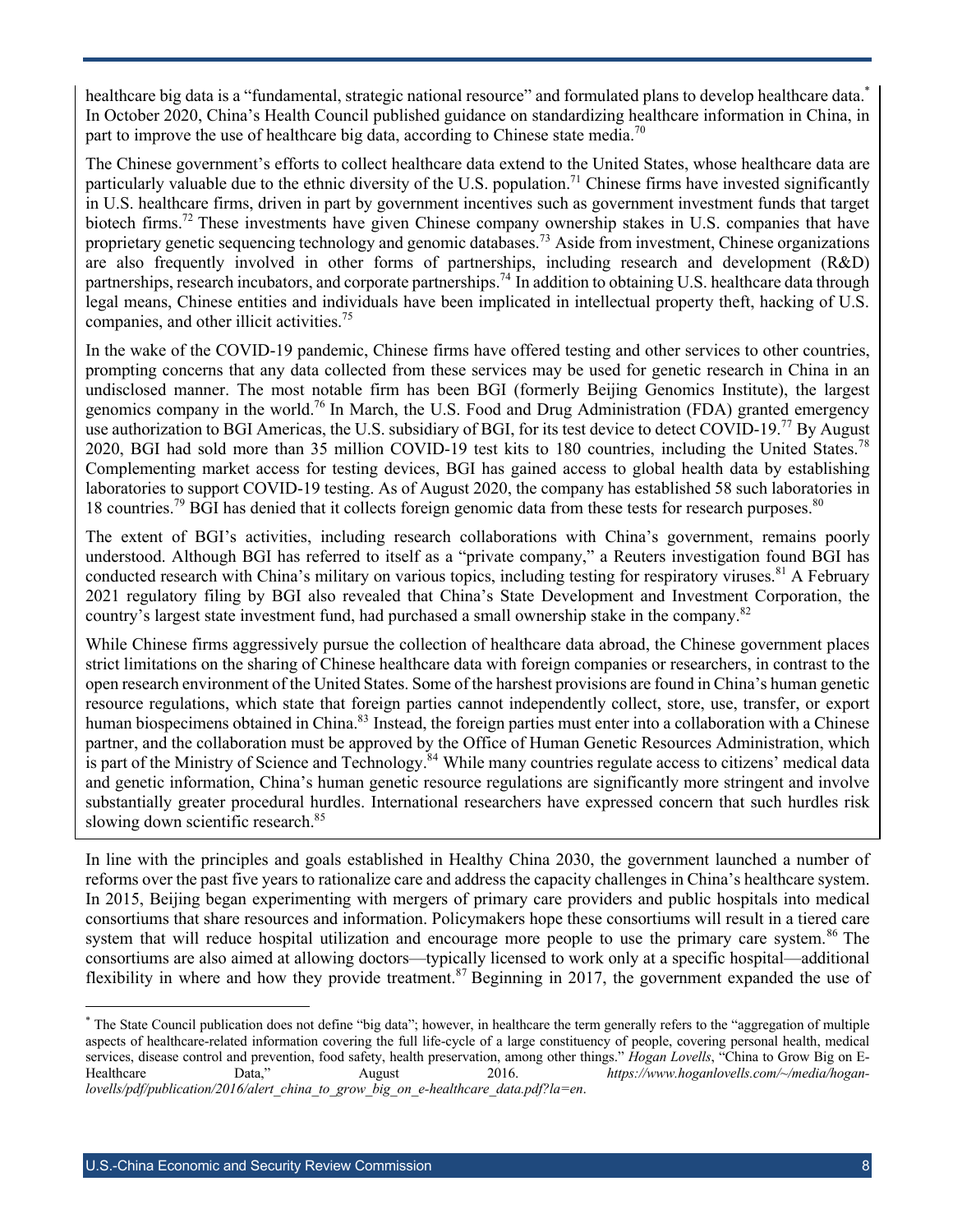healthcare big data is a "fundamental, strategic national resource" and formulated plans to develop healthcare data.<sup>\*</sup> In October 2020, China's Health Council published guidance on standardizing healthcare information in China, in part to improve the use of healthcare big data, according to Chinese state media.<sup>70</sup>

The Chinese government's efforts to collect healthcare data extend to the United States, whose healthcare data are particularly valuable due to the ethnic diversity of the U.S. population.<sup>71</sup> Chinese firms have invested significantly in U.S. healthcare firms, driven in part by government incentives such as government investment funds that target biotech firms.<sup>72</sup> These investments have given Chinese company ownership stakes in U.S. companies that have proprietary genetic sequencing technology and genomic databases.<sup>73</sup> Aside from investment, Chinese organizations are also frequently involved in other forms of partnerships, including research and development (R&D) partnerships, research incubators, and corporate partnerships.<sup>74</sup> In addition to obtaining U.S. healthcare data through legal means, Chinese entities and individuals have been implicated in intellectual property theft, hacking of U.S. companies, and other illicit activities.<sup>75</sup>

In the wake of the COVID-19 pandemic, Chinese firms have offered testing and other services to other countries, prompting concerns that any data collected from these services may be used for genetic research in China in an undisclosed manner. The most notable firm has been BGI (formerly Beijing Genomics Institute), the largest genomics company in the world.<sup>76</sup> In March, the U.S. Food and Drug Administration (FDA) granted emergency use authorization to BGI Americas, the U.S. subsidiary of BGI, for its test device to detect COVID-19.<sup>77</sup> By August 2020, BGI had sold more than 35 million COVID-19 test kits to 180 countries, including the United States.<sup>78</sup> Complementing market access for testing devices, BGI has gained access to global health data by establishing laboratories to support COVID-19 testing. As of August 2020, the company has established 58 such laboratories in 18 countries.<sup>79</sup> BGI has denied that it collects foreign genomic data from these tests for research purposes.<sup>80</sup>

The extent of BGI's activities, including research collaborations with China's government, remains poorly understood. Although BGI has referred to itself as a "private company," a Reuters investigation found BGI has conducted research with China's military on various topics, including testing for respiratory viruses.<sup>81</sup> A February 2021 regulatory filing by BGI also revealed that China's State Development and Investment Corporation, the country's largest state investment fund, had purchased a small ownership stake in the company.<sup>82</sup>

While Chinese firms aggressively pursue the collection of healthcare data abroad, the Chinese government places strict limitations on the sharing of Chinese healthcare data with foreign companies or researchers, in contrast to the open research environment of the United States. Some of the harshest provisions are found in China's human genetic resource regulations, which state that foreign parties cannot independently collect, store, use, transfer, or export human biospecimens obtained in China.<sup>83</sup> Instead, the foreign parties must enter into a collaboration with a Chinese partner, and the collaboration must be approved by the Office of Human Genetic Resources Administration, which is part of the Ministry of Science and Technology.<sup>84</sup> While many countries regulate access to citizens' medical data and genetic information, China's human genetic resource regulations are significantly more stringent and involve substantially greater procedural hurdles. International researchers have expressed concern that such hurdles risk slowing down scientific research.<sup>85</sup>

In line with the principles and goals established in Healthy China 2030, the government launched a number of reforms over the past five years to rationalize care and address the capacity challenges in China's healthcare system. In 2015, Beijing began experimenting with mergers of primary care providers and public hospitals into medical consortiums that share resources and information. Policymakers hope these consortiums will result in a tiered care system that will reduce hospital utilization and encourage more people to use the primary care system.<sup>86</sup> The consortiums are also aimed at allowing doctors—typically licensed to work only at a specific hospital—additional flexibility in where and how they provide treatment.<sup>87</sup> Beginning in 2017, the government expanded the use of

<sup>\*</sup> The State Council publication does not define "big data"; however, in healthcare the term generally refers to the "aggregation of multiple aspects of healthcare-related information covering the full life-cycle of a large constituency of people, covering personal health, medical services, disease control and prevention, food safety, health preservation, among other things." *Hogan Lovells*, "China to Grow Big on E-<br>Healthcare Data," August 2016. https://www.hoganlovells.com/~/media/hogan-Healthcare Data," August 2016. *https://www.hoganlovells.com/~/media/hoganlovells/pdf/publication/2016/alert\_china\_to\_grow\_big\_on\_e-healthcare\_data.pdf?la=en*.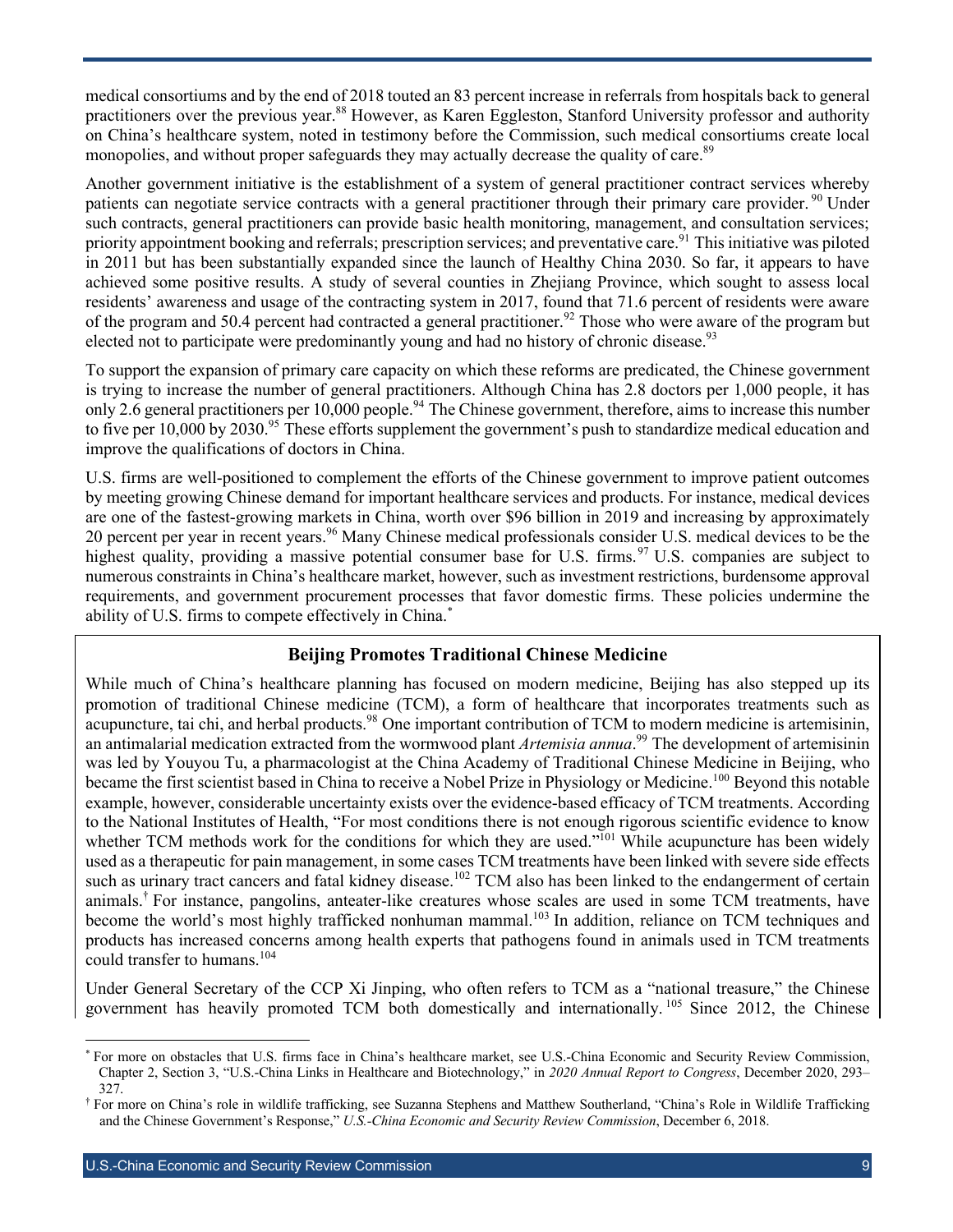medical consortiums and by the end of 2018 touted an 83 percent increase in referrals from hospitals back to general practitioners over the previous year.<sup>88</sup> However, as Karen Eggleston, Stanford University professor and authority on China's healthcare system, noted in testimony before the Commission, such medical consortiums create local monopolies, and without proper safeguards they may actually decrease the quality of care.<sup>89</sup>

Another government initiative is the establishment of a system of general practitioner contract services whereby patients can negotiate service contracts with a general practitioner through their primary care provider. <sup>90</sup> Under such contracts, general practitioners can provide basic health monitoring, management, and consultation services; priority appointment booking and referrals; prescription services; and preventative care.<sup>91</sup> This initiative was piloted in 2011 but has been substantially expanded since the launch of Healthy China 2030. So far, it appears to have achieved some positive results. A study of several counties in Zhejiang Province, which sought to assess local residents' awareness and usage of the contracting system in 2017, found that 71.6 percent of residents were aware of the program and 50.4 percent had contracted a general practitioner.<sup>92</sup> Those who were aware of the program but elected not to participate were predominantly young and had no history of chronic disease.<sup>93</sup>

To support the expansion of primary care capacity on which these reforms are predicated, the Chinese government is trying to increase the number of general practitioners. Although China has 2.8 doctors per 1,000 people, it has only 2.6 general practitioners per 10,000 people.<sup>94</sup> The Chinese government, therefore, aims to increase this number to five per  $10,000$  by  $2030$ .<sup>95</sup> These efforts supplement the government's push to standardize medical education and improve the qualifications of doctors in China.

U.S. firms are well-positioned to complement the efforts of the Chinese government to improve patient outcomes by meeting growing Chinese demand for important healthcare services and products. For instance, medical devices are one of the fastest-growing markets in China, worth over \$96 billion in 2019 and increasing by approximately 20 percent per year in recent years.<sup>96</sup> Many Chinese medical professionals consider U.S. medical devices to be the highest quality, providing a massive potential consumer base for U.S. firms.<sup>97</sup> U.S. companies are subject to numerous constraints in China's healthcare market, however, such as investment restrictions, burdensome approval requirements, and government procurement processes that favor domestic firms. These policies undermine the ability of U.S. firms to compete effectively in China.<sup>\*</sup>

#### **Beijing Promotes Traditional Chinese Medicine**

While much of China's healthcare planning has focused on modern medicine, Beijing has also stepped up its promotion of traditional Chinese medicine (TCM), a form of healthcare that incorporates treatments such as acupuncture, tai chi, and herbal products.<sup>98</sup> One important contribution of TCM to modern medicine is artemisinin, an antimalarial medication extracted from the wormwood plant *Artemisia annua*. <sup>99</sup> The development of artemisinin was led by Youyou Tu, a pharmacologist at the China Academy of Traditional Chinese Medicine in Beijing, who became the first scientist based in China to receive a Nobel Prize in Physiology or Medicine.<sup>100</sup> Beyond this notable example, however, considerable uncertainty exists over the evidence-based efficacy of TCM treatments. According to the National Institutes of Health, "For most conditions there is not enough rigorous scientific evidence to know whether TCM methods work for the conditions for which they are used."<sup>101</sup> While acupuncture has been widely used as a therapeutic for pain management, in some cases TCM treatments have been linked with severe side effects such as urinary tract cancers and fatal kidney disease.<sup>102</sup> TCM also has been linked to the endangerment of certain animals. † For instance, pangolins, anteater-like creatures whose scales are used in some TCM treatments, have become the world's most highly trafficked nonhuman mammal.<sup>103</sup> In addition, reliance on TCM techniques and products has increased concerns among health experts that pathogens found in animals used in TCM treatments could transfer to humans.<sup>104</sup>

Under General Secretary of the CCP Xi Jinping, who often refers to TCM as a "national treasure," the Chinese government has heavily promoted TCM both domestically and internationally.<sup>105</sup> Since 2012, the Chinese

For more on obstacles that U.S. firms face in China's healthcare market, see U.S.-China Economic and Security Review Commission, Chapter 2, Section 3, "U.S.-China Links in Healthcare and Biotechnology," in *2020 Annual Report to Congress*, December 2020, 293– 327.

<sup>†</sup> For more on China's role in wildlife trafficking, see Suzanna Stephens and Matthew Southerland, "China's Role in Wildlife Trafficking and the Chinese Government's Response," *U.S.-China Economic and Security Review Commission*, December 6, 2018.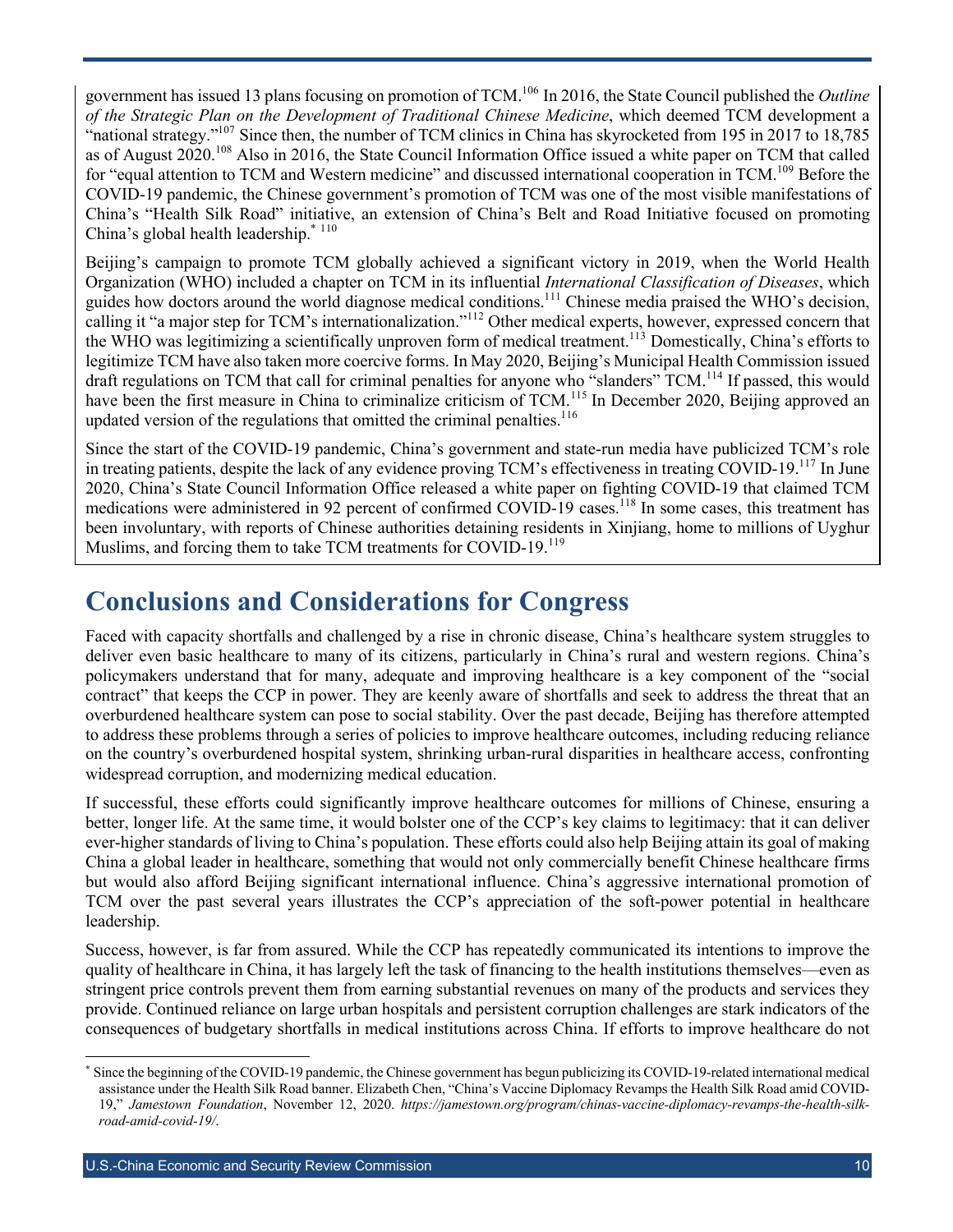government has issued 13 plans focusing on promotion of TCM.106 In 2016, the State Council published the *Outline of the Strategic Plan on the Development of Traditional Chinese Medicine*, which deemed TCM development a "national strategy."<sup>107</sup> Since then, the number of TCM clinics in China has skyrocketed from 195 in 2017 to 18,785 as of August 2020.<sup>108</sup> Also in 2016, the State Council Information Office issued a white paper on TCM that called for "equal attention to TCM and Western medicine" and discussed international cooperation in TCM.<sup>109</sup> Before the COVID-19 pandemic, the Chinese government's promotion of TCM was one of the most visible manifestations of China's "Health Silk Road" initiative, an extension of China's Belt and Road Initiative focused on promoting China's global health leadership. $*$ <sup>110</sup>

Beijing's campaign to promote TCM globally achieved a significant victory in 2019, when the World Health Organization (WHO) included a chapter on TCM in its influential *International Classification of Diseases*, which guides how doctors around the world diagnose medical conditions.111 Chinese media praised the WHO's decision, calling it "a major step for TCM's internationalization."<sup>112</sup> Other medical experts, however, expressed concern that the WHO was legitimizing a scientifically unproven form of medical treatment.<sup>113</sup> Domestically, China's efforts to legitimize TCM have also taken more coercive forms. In May 2020, Beijing's Municipal Health Commission issued draft regulations on TCM that call for criminal penalties for anyone who "slanders" TCM.<sup>114</sup> If passed, this would have been the first measure in China to criminalize criticism of TCM.<sup>115</sup> In December 2020, Beijing approved an updated version of the regulations that omitted the criminal penalties. $116$ 

Since the start of the COVID-19 pandemic, China's government and state-run media have publicized TCM's role in treating patients, despite the lack of any evidence proving TCM's effectiveness in treating COVID-19.<sup>117</sup> In June 2020, China's State Council Information Office released a white paper on fighting COVID-19 that claimed TCM medications were administered in 92 percent of confirmed COVID-19 cases.<sup>118</sup> In some cases, this treatment has been involuntary, with reports of Chinese authorities detaining residents in Xinjiang, home to millions of Uyghur Muslims, and forcing them to take TCM treatments for COVID-19.<sup>119</sup>

### **Conclusions and Considerations for Congress**

Faced with capacity shortfalls and challenged by a rise in chronic disease, China's healthcare system struggles to deliver even basic healthcare to many of its citizens, particularly in China's rural and western regions. China's policymakers understand that for many, adequate and improving healthcare is a key component of the "social contract" that keeps the CCP in power. They are keenly aware of shortfalls and seek to address the threat that an overburdened healthcare system can pose to social stability. Over the past decade, Beijing has therefore attempted to address these problems through a series of policies to improve healthcare outcomes, including reducing reliance on the country's overburdened hospital system, shrinking urban-rural disparities in healthcare access, confronting widespread corruption, and modernizing medical education.

If successful, these efforts could significantly improve healthcare outcomes for millions of Chinese, ensuring a better, longer life. At the same time, it would bolster one of the CCP's key claims to legitimacy: that it can deliver ever-higher standards of living to China's population. These efforts could also help Beijing attain its goal of making China a global leader in healthcare, something that would not only commercially benefit Chinese healthcare firms but would also afford Beijing significant international influence. China's aggressive international promotion of TCM over the past several years illustrates the CCP's appreciation of the soft-power potential in healthcare leadership.

Success, however, is far from assured. While the CCP has repeatedly communicated its intentions to improve the quality of healthcare in China, it has largely left the task of financing to the health institutions themselves—even as stringent price controls prevent them from earning substantial revenues on many of the products and services they provide. Continued reliance on large urban hospitals and persistent corruption challenges are stark indicators of the consequences of budgetary shortfalls in medical institutions across China. If efforts to improve healthcare do not

Since the beginning of the COVID-19 pandemic, the Chinese government has begun publicizing its COVID-19-related international medical assistance under the Health Silk Road banner. Elizabeth Chen, "China's Vaccine Diplomacy Revamps the Health Silk Road amid COVID-19," *Jamestown Foundation*, November 12, 2020. *https://jamestown.org/program/chinas-vaccine-diplomacy-revamps-the-health-silkroad-amid-covid-19/*.

U.S.-China Economic and Security Review Commission and the control of the control of the control of the control of the control of the control of the control of the control of the control of the control of the control of th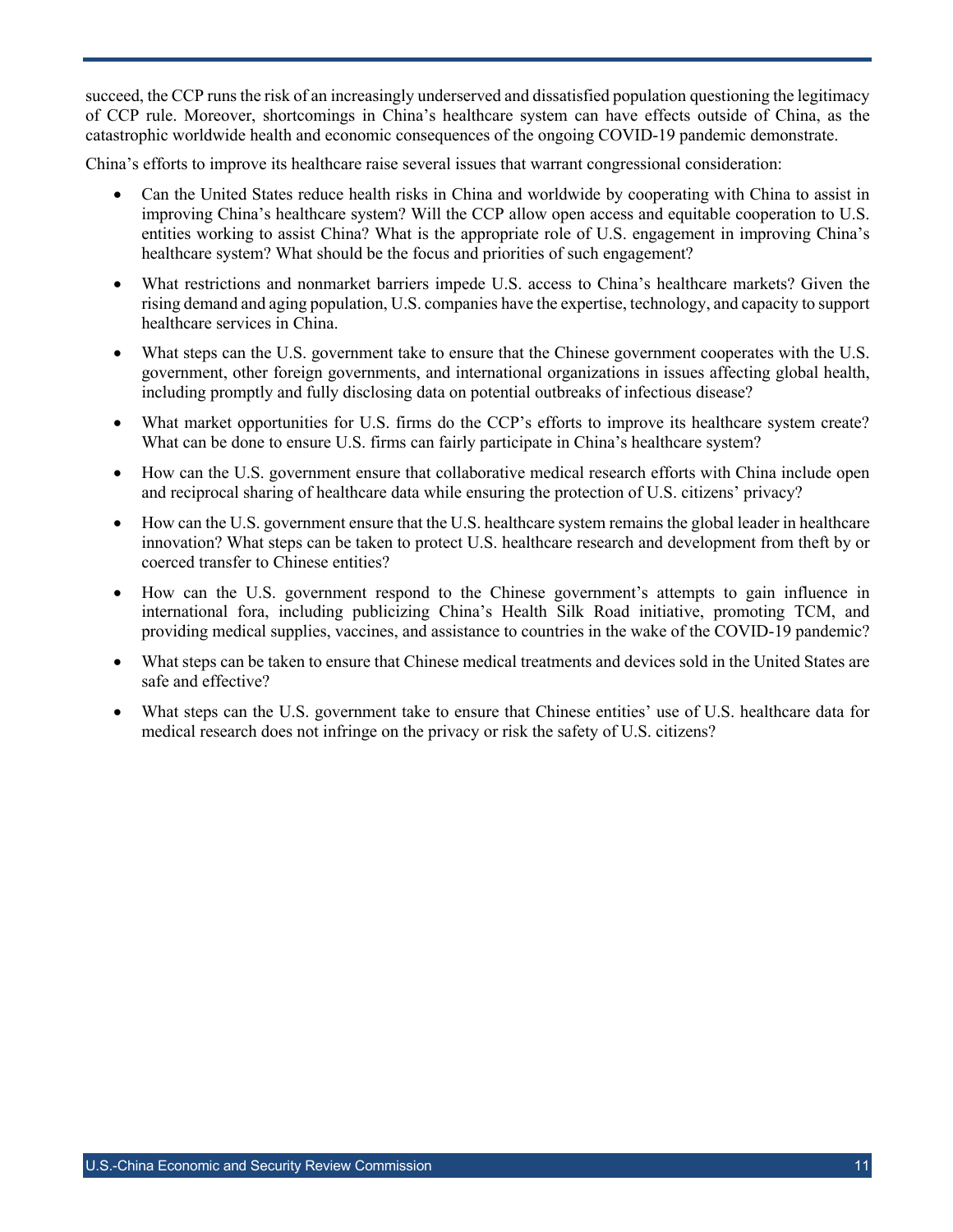succeed, the CCP runs the risk of an increasingly underserved and dissatisfied population questioning the legitimacy of CCP rule. Moreover, shortcomings in China's healthcare system can have effects outside of China, as the catastrophic worldwide health and economic consequences of the ongoing COVID-19 pandemic demonstrate.

China's efforts to improve its healthcare raise several issues that warrant congressional consideration:

- Can the United States reduce health risks in China and worldwide by cooperating with China to assist in improving China's healthcare system? Will the CCP allow open access and equitable cooperation to U.S. entities working to assist China? What is the appropriate role of U.S. engagement in improving China's healthcare system? What should be the focus and priorities of such engagement?
- What restrictions and nonmarket barriers impede U.S. access to China's healthcare markets? Given the rising demand and aging population, U.S. companies have the expertise, technology, and capacity to support healthcare services in China.
- What steps can the U.S. government take to ensure that the Chinese government cooperates with the U.S. government, other foreign governments, and international organizations in issues affecting global health, including promptly and fully disclosing data on potential outbreaks of infectious disease?
- What market opportunities for U.S. firms do the CCP's efforts to improve its healthcare system create? What can be done to ensure U.S. firms can fairly participate in China's healthcare system?
- How can the U.S. government ensure that collaborative medical research efforts with China include open and reciprocal sharing of healthcare data while ensuring the protection of U.S. citizens' privacy?
- How can the U.S. government ensure that the U.S. healthcare system remains the global leader in healthcare innovation? What steps can be taken to protect U.S. healthcare research and development from theft by or coerced transfer to Chinese entities?
- How can the U.S. government respond to the Chinese government's attempts to gain influence in international fora, including publicizing China's Health Silk Road initiative, promoting TCM, and providing medical supplies, vaccines, and assistance to countries in the wake of the COVID-19 pandemic?
- What steps can be taken to ensure that Chinese medical treatments and devices sold in the United States are safe and effective?
- What steps can the U.S. government take to ensure that Chinese entities' use of U.S. healthcare data for medical research does not infringe on the privacy or risk the safety of U.S. citizens?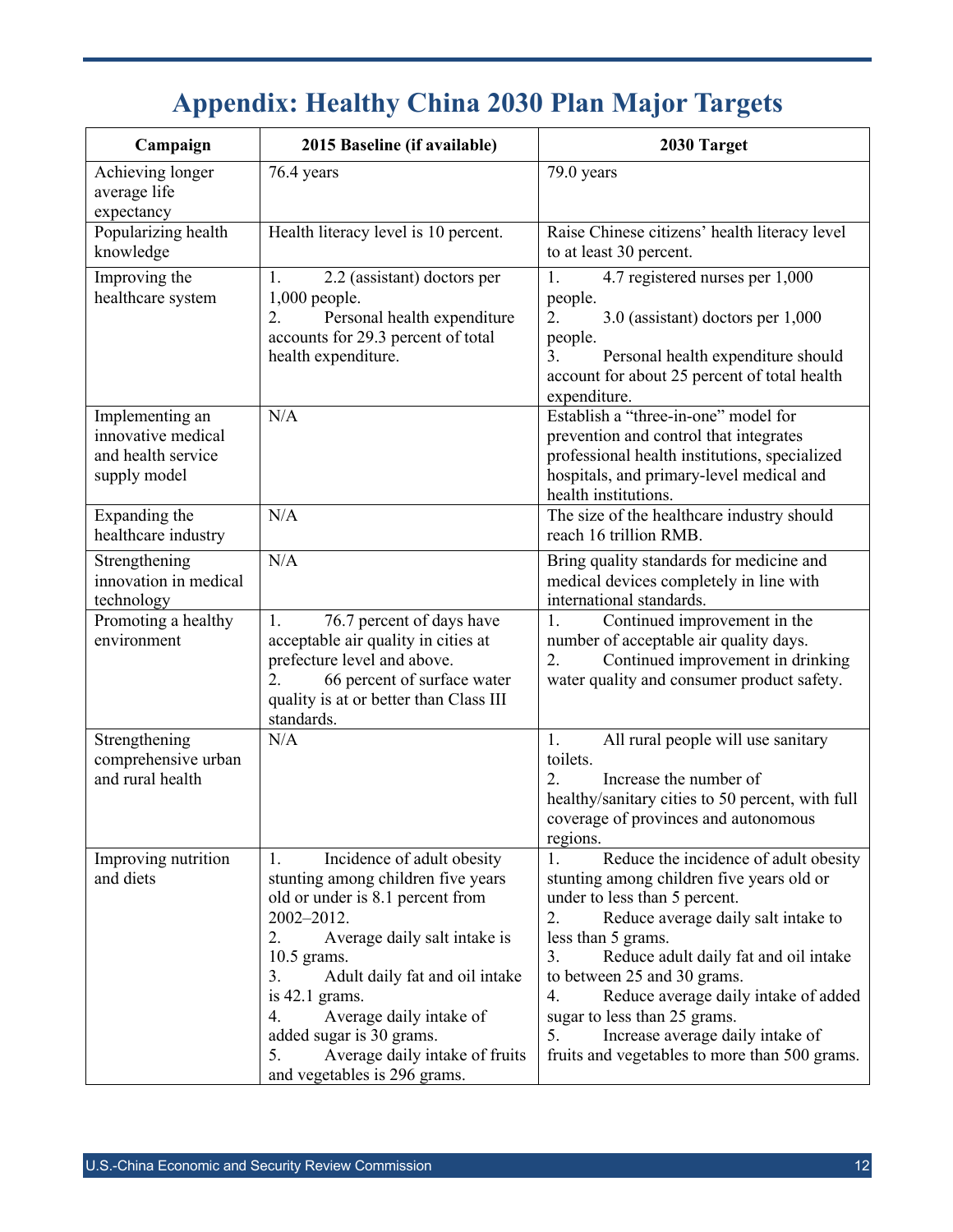## **Appendix: Healthy China 2030 Plan Major Targets**

| Campaign                                                                    | 2015 Baseline (if available)                                                                                                                                                                                                                                                                                                                                                   | 2030 Target                                                                                                                                                                                                                                                                                                                                                                                                                                                     |
|-----------------------------------------------------------------------------|--------------------------------------------------------------------------------------------------------------------------------------------------------------------------------------------------------------------------------------------------------------------------------------------------------------------------------------------------------------------------------|-----------------------------------------------------------------------------------------------------------------------------------------------------------------------------------------------------------------------------------------------------------------------------------------------------------------------------------------------------------------------------------------------------------------------------------------------------------------|
| Achieving longer<br>average life<br>expectancy                              | 76.4 years                                                                                                                                                                                                                                                                                                                                                                     | 79.0 years                                                                                                                                                                                                                                                                                                                                                                                                                                                      |
| Popularizing health<br>knowledge                                            | Health literacy level is 10 percent.                                                                                                                                                                                                                                                                                                                                           | Raise Chinese citizens' health literacy level<br>to at least 30 percent.                                                                                                                                                                                                                                                                                                                                                                                        |
| Improving the<br>healthcare system                                          | 2.2 (assistant) doctors per<br>1.<br>$1,000$ people.<br>Personal health expenditure<br>2.<br>accounts for 29.3 percent of total<br>health expenditure.                                                                                                                                                                                                                         | 1.<br>4.7 registered nurses per 1,000<br>people.<br>2.<br>3.0 (assistant) doctors per 1,000<br>people.<br>3.<br>Personal health expenditure should<br>account for about 25 percent of total health<br>expenditure.                                                                                                                                                                                                                                              |
| Implementing an<br>innovative medical<br>and health service<br>supply model | N/A                                                                                                                                                                                                                                                                                                                                                                            | Establish a "three-in-one" model for<br>prevention and control that integrates<br>professional health institutions, specialized<br>hospitals, and primary-level medical and<br>health institutions.                                                                                                                                                                                                                                                             |
| Expanding the<br>healthcare industry                                        | N/A                                                                                                                                                                                                                                                                                                                                                                            | The size of the healthcare industry should<br>reach 16 trillion RMB.                                                                                                                                                                                                                                                                                                                                                                                            |
| Strengthening<br>innovation in medical<br>technology                        | N/A                                                                                                                                                                                                                                                                                                                                                                            | Bring quality standards for medicine and<br>medical devices completely in line with<br>international standards.                                                                                                                                                                                                                                                                                                                                                 |
| Promoting a healthy<br>environment                                          | 76.7 percent of days have<br>$\mathbf{1}$ .<br>acceptable air quality in cities at<br>prefecture level and above.<br>66 percent of surface water<br>2.<br>quality is at or better than Class III<br>standards.                                                                                                                                                                 | Continued improvement in the<br>1.<br>number of acceptable air quality days.<br>Continued improvement in drinking<br>2.<br>water quality and consumer product safety.                                                                                                                                                                                                                                                                                           |
| Strengthening<br>comprehensive urban<br>and rural health                    | N/A                                                                                                                                                                                                                                                                                                                                                                            | 1.<br>All rural people will use sanitary<br>toilets.<br>2.<br>Increase the number of<br>healthy/sanitary cities to 50 percent, with full<br>coverage of provinces and autonomous<br>regions.                                                                                                                                                                                                                                                                    |
| Improving nutrition<br>and diets                                            | Incidence of adult obesity<br>1.<br>stunting among children five years<br>old or under is 8.1 percent from<br>2002-2012.<br>2.<br>Average daily salt intake is<br>10.5 grams.<br>Adult daily fat and oil intake<br>3.<br>is $42.1$ grams.<br>Average daily intake of<br>4.<br>added sugar is 30 grams.<br>Average daily intake of fruits<br>5.<br>and vegetables is 296 grams. | Reduce the incidence of adult obesity<br>$\mathbf{1}$ .<br>stunting among children five years old or<br>under to less than 5 percent.<br>2.<br>Reduce average daily salt intake to<br>less than 5 grams.<br>3.<br>Reduce adult daily fat and oil intake<br>to between 25 and 30 grams.<br>Reduce average daily intake of added<br>4.<br>sugar to less than 25 grams.<br>Increase average daily intake of<br>5.<br>fruits and vegetables to more than 500 grams. |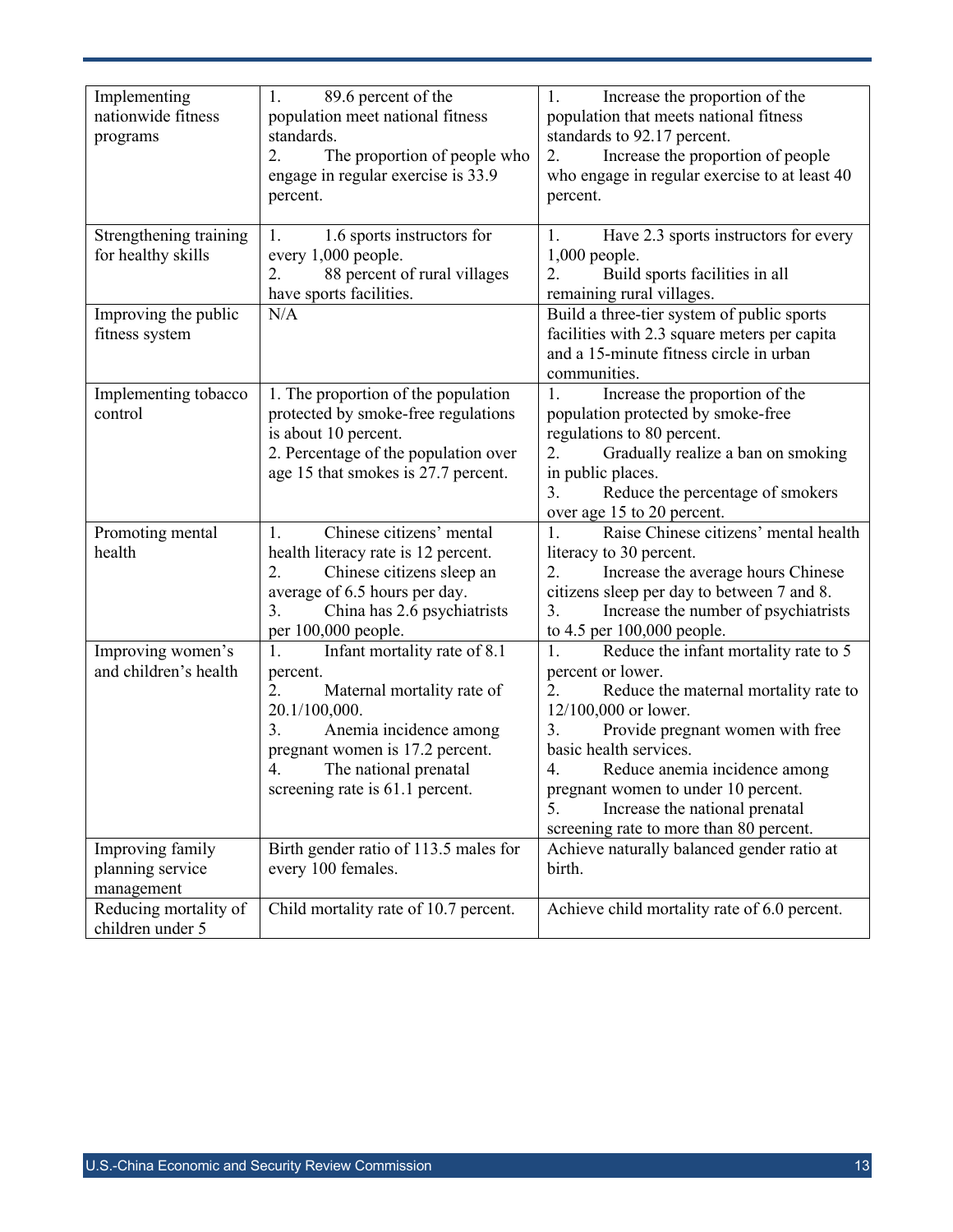| Implementing<br>nationwide fitness<br>programs     | 89.6 percent of the<br>1.<br>population meet national fitness<br>standards.<br>The proportion of people who<br>2.<br>engage in regular exercise is 33.9<br>percent.                                                                      | 1.<br>Increase the proportion of the<br>population that meets national fitness<br>standards to 92.17 percent.<br>Increase the proportion of people<br>2.<br>who engage in regular exercise to at least 40<br>percent.                                                                                                                                                        |
|----------------------------------------------------|------------------------------------------------------------------------------------------------------------------------------------------------------------------------------------------------------------------------------------------|------------------------------------------------------------------------------------------------------------------------------------------------------------------------------------------------------------------------------------------------------------------------------------------------------------------------------------------------------------------------------|
| Strengthening training<br>for healthy skills       | 1.6 sports instructors for<br>1.<br>every 1,000 people.<br>88 percent of rural villages<br>2.<br>have sports facilities.                                                                                                                 | Have 2.3 sports instructors for every<br>1.<br>$1,000$ people.<br>Build sports facilities in all<br>2.<br>remaining rural villages.                                                                                                                                                                                                                                          |
| Improving the public<br>fitness system             | N/A                                                                                                                                                                                                                                      | Build a three-tier system of public sports<br>facilities with 2.3 square meters per capita<br>and a 15-minute fitness circle in urban<br>communities.                                                                                                                                                                                                                        |
| Implementing tobacco<br>control                    | 1. The proportion of the population<br>protected by smoke-free regulations<br>is about 10 percent.<br>2. Percentage of the population over<br>age 15 that smokes is 27.7 percent.                                                        | Increase the proportion of the<br>1.<br>population protected by smoke-free<br>regulations to 80 percent.<br>Gradually realize a ban on smoking<br>2.<br>in public places.<br>3.<br>Reduce the percentage of smokers<br>over age 15 to 20 percent.                                                                                                                            |
| Promoting mental<br>health                         | Chinese citizens' mental<br>1.<br>health literacy rate is 12 percent.<br>2.<br>Chinese citizens sleep an<br>average of 6.5 hours per day.<br>China has 2.6 psychiatrists<br>3.<br>per 100,000 people.                                    | Raise Chinese citizens' mental health<br>1.<br>literacy to 30 percent.<br>2.<br>Increase the average hours Chinese<br>citizens sleep per day to between 7 and 8.<br>Increase the number of psychiatrists<br>3.<br>to 4.5 per 100,000 people.                                                                                                                                 |
| Improving women's<br>and children's health         | 1.<br>Infant mortality rate of 8.1<br>percent.<br>2.<br>Maternal mortality rate of<br>20.1/100,000.<br>3.<br>Anemia incidence among<br>pregnant women is 17.2 percent.<br>4.<br>The national prenatal<br>screening rate is 61.1 percent. | 1.<br>Reduce the infant mortality rate to 5<br>percent or lower.<br>2.<br>Reduce the maternal mortality rate to<br>12/100,000 or lower.<br>3.<br>Provide pregnant women with free<br>basic health services.<br>4.<br>Reduce anemia incidence among<br>pregnant women to under 10 percent.<br>Increase the national prenatal<br>5.<br>screening rate to more than 80 percent. |
| Improving family<br>planning service<br>management | Birth gender ratio of 113.5 males for<br>every 100 females.                                                                                                                                                                              | Achieve naturally balanced gender ratio at<br>birth.                                                                                                                                                                                                                                                                                                                         |
| Reducing mortality of<br>children under 5          | Child mortality rate of 10.7 percent.                                                                                                                                                                                                    | Achieve child mortality rate of 6.0 percent.                                                                                                                                                                                                                                                                                                                                 |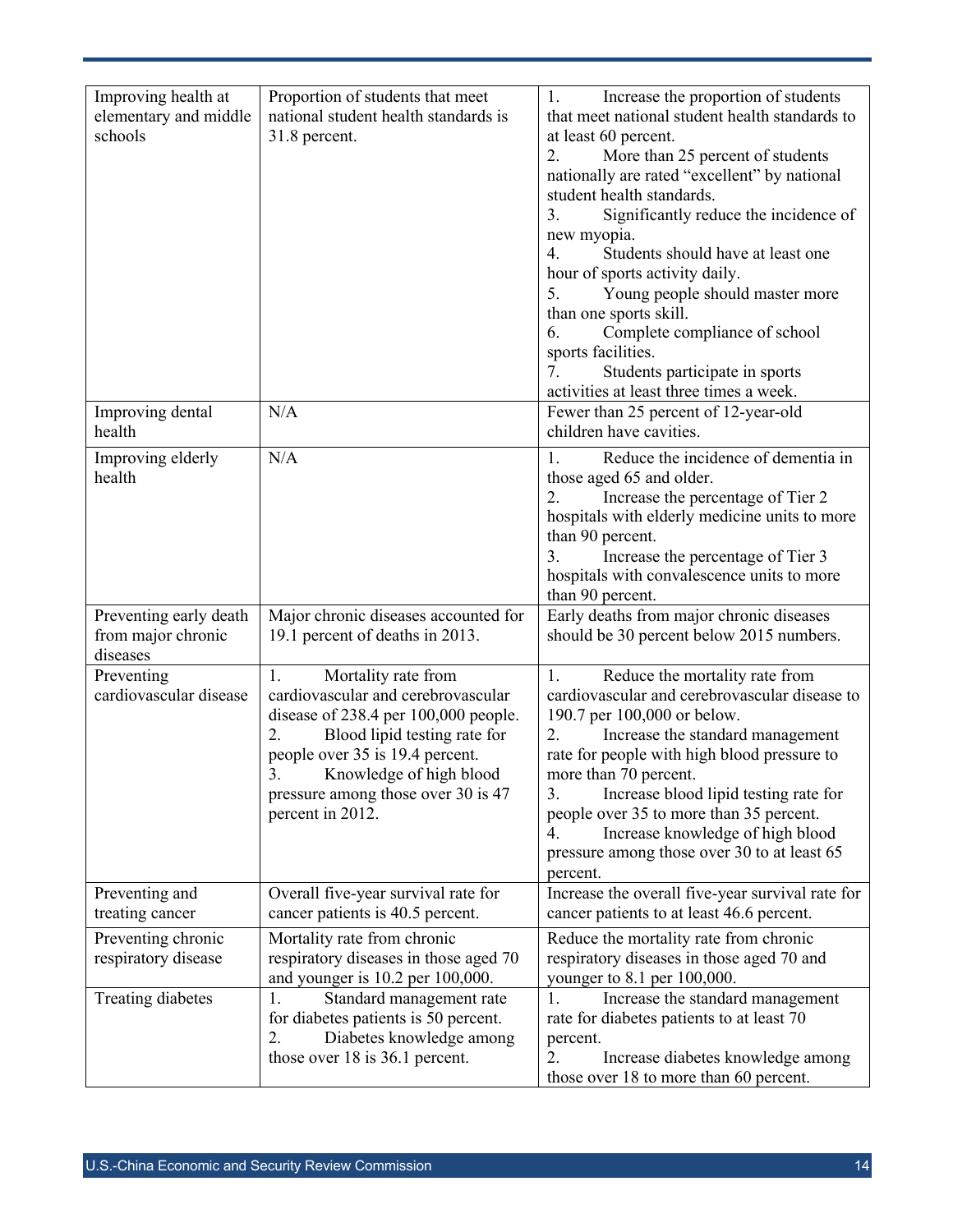| Improving health at<br>elementary and middle<br>schools  | Proportion of students that meet<br>national student health standards is<br>31.8 percent.                                                                                                                                                                                | Increase the proportion of students<br>1.<br>that meet national student health standards to<br>at least 60 percent.<br>More than 25 percent of students<br>2.<br>nationally are rated "excellent" by national<br>student health standards.<br>Significantly reduce the incidence of<br>3.<br>new myopia.<br>Students should have at least one<br>4.<br>hour of sports activity daily.<br>5.<br>Young people should master more<br>than one sports skill.<br>Complete compliance of school<br>6.<br>sports facilities.<br>Students participate in sports<br>7.<br>activities at least three times a week. |
|----------------------------------------------------------|--------------------------------------------------------------------------------------------------------------------------------------------------------------------------------------------------------------------------------------------------------------------------|----------------------------------------------------------------------------------------------------------------------------------------------------------------------------------------------------------------------------------------------------------------------------------------------------------------------------------------------------------------------------------------------------------------------------------------------------------------------------------------------------------------------------------------------------------------------------------------------------------|
| Improving dental<br>health                               | N/A                                                                                                                                                                                                                                                                      | Fewer than 25 percent of 12-year-old<br>children have cavities.                                                                                                                                                                                                                                                                                                                                                                                                                                                                                                                                          |
| Improving elderly<br>health                              | N/A                                                                                                                                                                                                                                                                      | Reduce the incidence of dementia in<br>1.<br>those aged 65 and older.<br>Increase the percentage of Tier 2<br>2.<br>hospitals with elderly medicine units to more<br>than 90 percent.<br>Increase the percentage of Tier 3<br>3.<br>hospitals with convalescence units to more<br>than 90 percent.                                                                                                                                                                                                                                                                                                       |
| Preventing early death<br>from major chronic<br>diseases | Major chronic diseases accounted for<br>19.1 percent of deaths in 2013.                                                                                                                                                                                                  | Early deaths from major chronic diseases<br>should be 30 percent below 2015 numbers.                                                                                                                                                                                                                                                                                                                                                                                                                                                                                                                     |
| Preventing<br>cardiovascular disease                     | Mortality rate from<br>1.<br>cardiovascular and cerebrovascular<br>disease of 238.4 per 100,000 people.<br>2.<br>Blood lipid testing rate for<br>people over 35 is 19.4 percent.<br>3. Knowledge of high blood<br>pressure among those over 30 is 47<br>percent in 2012. | Reduce the mortality rate from<br>1.<br>cardiovascular and cerebrovascular disease to<br>190.7 per 100,000 or below.<br>Increase the standard management<br>2.<br>rate for people with high blood pressure to<br>more than 70 percent.<br>Increase blood lipid testing rate for<br>3.<br>people over 35 to more than 35 percent.<br>Increase knowledge of high blood<br>4.<br>pressure among those over 30 to at least 65<br>percent.                                                                                                                                                                    |
| Preventing and<br>treating cancer                        | Overall five-year survival rate for<br>cancer patients is 40.5 percent.                                                                                                                                                                                                  | Increase the overall five-year survival rate for<br>cancer patients to at least 46.6 percent.                                                                                                                                                                                                                                                                                                                                                                                                                                                                                                            |
| Preventing chronic<br>respiratory disease                | Mortality rate from chronic<br>respiratory diseases in those aged 70<br>and younger is 10.2 per 100,000.                                                                                                                                                                 | Reduce the mortality rate from chronic<br>respiratory diseases in those aged 70 and<br>younger to 8.1 per 100,000.                                                                                                                                                                                                                                                                                                                                                                                                                                                                                       |
| Treating diabetes                                        | 1.<br>Standard management rate<br>for diabetes patients is 50 percent.<br>2.<br>Diabetes knowledge among<br>those over $18$ is $36.1$ percent.                                                                                                                           | 1.<br>Increase the standard management<br>rate for diabetes patients to at least 70<br>percent.<br>Increase diabetes knowledge among<br>2.<br>those over 18 to more than 60 percent.                                                                                                                                                                                                                                                                                                                                                                                                                     |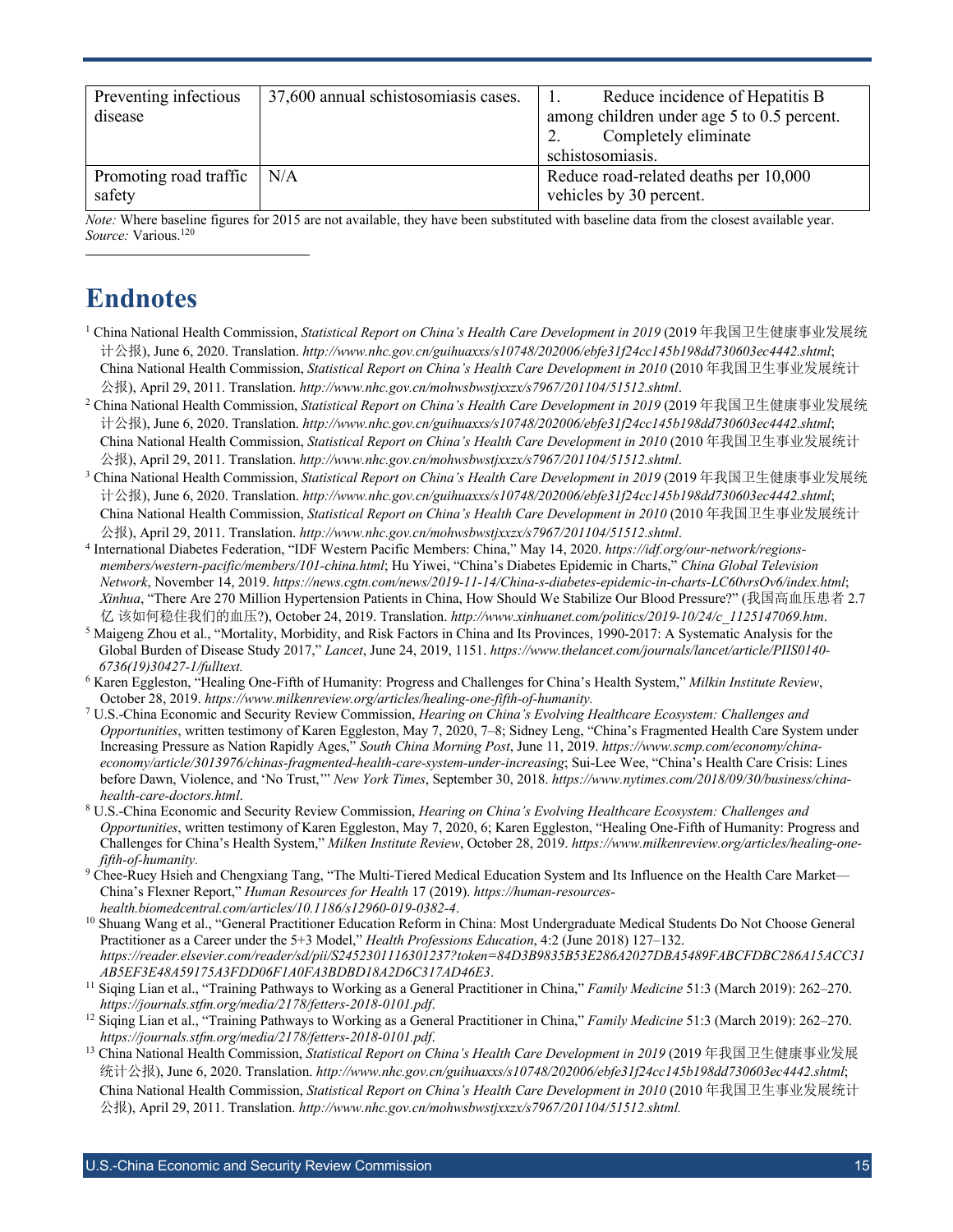| Preventing infectious<br>disease       | 37,600 annual schistosomiasis cases. | Reduce incidence of Hepatitis B<br>1.<br>among children under age 5 to 0.5 percent.<br>Completely eliminate<br>schistosomiasis. |
|----------------------------------------|--------------------------------------|---------------------------------------------------------------------------------------------------------------------------------|
| Promoting road traffic   N/A<br>safety |                                      | Reduce road-related deaths per 10,000<br>vehicles by 30 percent.                                                                |

*Note:* Where baseline figures for 2015 are not available, they have been substituted with baseline data from the closest available year. *Source:* Various.120

### **Endnotes**

- <sup>1</sup> China National Health Commission, *Statistical Report on China's Health Care Development in 2019* (2019 年我国卫生健康事业发展统 计公报), June 6, 2020. Translation. *http://www.nhc.gov.cn/guihuaxxs/s10748/202006/ebfe31f24cc145b198dd730603ec4442.shtml*; China National Health Commission, *Statistical Report on China's Health Care Development in 2010* (2010 年我国卫生事业发展统计 公报), April 29, 2011. Translation. *http://www.nhc.gov.cn/mohwsbwstjxxzx/s7967/201104/51512.shtml*.
- <sup>2</sup> China National Health Commission, *Statistical Report on China's Health Care Development in 2019* (2019 年我国卫生健康事业发展统 计公报), June 6, 2020. Translation. *http://www.nhc.gov.cn/guihuaxxs/s10748/202006/ebfe31f24cc145b198dd730603ec4442.shtml*; China National Health Commission, *Statistical Report on China's Health Care Development in 2010* (2010 年我国卫生事业发展统计 公报), April 29, 2011. Translation. *http://www.nhc.gov.cn/mohwsbwstjxxzx/s7967/201104/51512.shtml*.
- <sup>3</sup> China National Health Commission, *Statistical Report on China's Health Care Development in 2019* (2019 年我国卫生健康事业发展统 计公报), June 6, 2020. Translation. *http://www.nhc.gov.cn/guihuaxxs/s10748/202006/ebfe31f24cc145b198dd730603ec4442.shtml*; China National Health Commission, *Statistical Report on China's Health Care Development in 2010* (2010 年我国卫生事业发展统计 公报), April 29, 2011. Translation. http://www.nhc.gov.cn/mohwsbwstjxxzx/s7967/201104/51512.shtml.<br><sup>4</sup> International Diabetes Federation, "IDF Western Pacific Members: China," May 14, 2020. https://idf.org/our-network/regio
- *members/western-pacific/members/101-china.html*; Hu Yiwei, "China's Diabetes Epidemic in Charts," *China Global Television Network*, November 14, 2019. *https://news.cgtn.com/news/2019-11-14/China-s-diabetes-epidemic-in-charts-LC60vrsOv6/index.html*; *Xinhua*, "There Are 270 Million Hypertension Patients in China, How Should We Stabilize Our Blood Pressure?" (我国高血压患者 2.7 亿 该如何稳住我们的血压?), October 24, 2019. Translation. *http://www.xinhuanet.com/politics/2019-10/24/c\_1125147069.htm*.
- <sup>5</sup> Maigeng Zhou et al., "Mortality, Morbidity, and Risk Factors in China and Its Provinces, 1990-2017: A Systematic Analysis for the Global Burden of Disease Study 2017," *Lancet*, June 24, 2019, 1151. *https://www.thelancet.com/journals/lancet/article/PIIS0140- 6736(19)30427-1/fulltext.*
- <sup>6</sup> Karen Eggleston, "Healing One-Fifth of Humanity: Progress and Challenges for China's Health System," *Milkin Institute Review*, October 28, 2019. *https://www.milkenreview.org/articles/healing-one-fifth-of-humanity.*
- <sup>7</sup> U.S.-China Economic and Security Review Commission, *Hearing on China's Evolving Healthcare Ecosystem: Challenges and Opportunities*, written testimony of Karen Eggleston, May 7, 2020, 7–8; Sidney Leng, "China's Fragmented Health Care System under Increasing Pressure as Nation Rapidly Ages," *South China Morning Post*, June 11, 2019. *https://www.scmp.com/economy/chinaeconomy/article/3013976/chinas-fragmented-health-care-system-under-increasing*; Sui-Lee Wee, "China's Health Care Crisis: Lines before Dawn, Violence, and 'No Trust,'" *New York Times*, September 30, 2018. *https://www.nytimes.com/2018/09/30/business/chinahealth-care-doctors.html*.
- <sup>8</sup> U.S.-China Economic and Security Review Commission, *Hearing on China's Evolving Healthcare Ecosystem: Challenges and Opportunities*, written testimony of Karen Eggleston, May 7, 2020, 6; Karen Eggleston, "Healing One-Fifth of Humanity: Progress and Challenges for China's Health System," *Milken Institute Review*, October 28, 2019. *https://www.milkenreview.org/articles/healing-onefifth-of-humanity.*
- 9 Chee-Ruey Hsieh and Chengxiang Tang, "The Multi-Tiered Medical Education System and Its Influence on the Health Care Market— China's Flexner Report," *Human Resources for Health* 17 (2019). *https://human-resourceshealth.biomedcentral.com/articles/10.1186/s12960-019-0382-4*.
- <sup>10</sup> Shuang Wang et al., "General Practitioner Education Reform in China: Most Undergraduate Medical Students Do Not Choose General Practitioner as a Career under the 5+3 Model," *Health Professions Education*, 4:2 (June 2018) 127–132. *https://reader.elsevier.com/reader/sd/pii/S2452301116301237?token=84D3B9835B53E286A2027DBA5489FABCFDBC286A15ACC31*
- *AB5EF3E48A59175A3FDD06F1A0FA3BDBD18A2D6C317AD46E3*. 11 Siqing Lian et al., "Training Pathways to Working as a General Practitioner in China," *Family Medicine* 51:3 (March 2019): 262–270. *https://journals.stfm.org/media/2178/fetters-2018-0101.pdf*. 12 Siqing Lian et al., "Training Pathways to Working as a General Practitioner in China," *Family Medicine* 51:3 (March 2019): 262–270.
- *https://journals.stfm.org/media/2178/fetters-2018-0101.pdf*. 13 China National Health Commission, *Statistical Report on China's Health Care Development in 2019* (2019 年我国卫生健康事业发展
- 统计公报), June 6, 2020. Translation. *http://www.nhc.gov.cn/guihuaxxs/s10748/202006/ebfe31f24cc145b198dd730603ec4442.shtml*; China National Health Commission, *Statistical Report on China's Health Care Development in 2010* (2010 年我国卫生事业发展统计 公报), April 29, 2011. Translation. *http://www.nhc.gov.cn/mohwsbwstjxxzx/s7967/201104/51512.shtml.*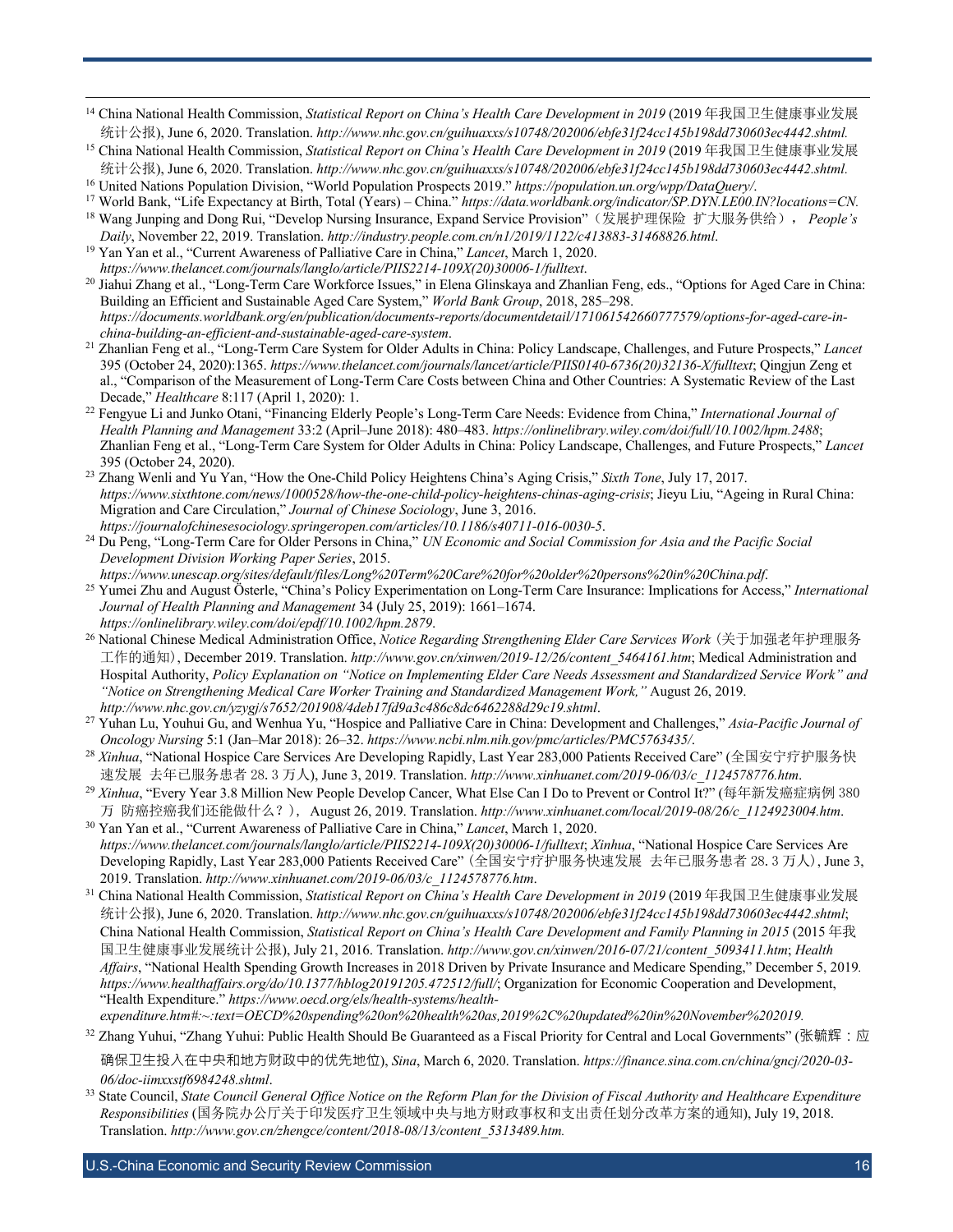- <sup>14</sup> China National Health Commission, *Statistical Report on China's Health Care Development in 2019* (2019 年我国卫生健康事业发展 统计公报), June 6, 2020. Translation. *http://www.nhc.gov.cn/guihuaxxs/s10748/202006/ebfe31f24cc145b198dd730603ec4442.shtml.*
- <sup>15</sup> China National Health Commission, *Statistical Report on China's Health Care Development in 2019* (2019 年我国卫生健康事业发展 统计公报), June 6, 2020. Translation. *http://www.nhc.gov.cn/guihuaxxs/s10748/202006/ebfe31f24cc145b198dd730603ec4442.shtml.*

<sup>16</sup> United Nations Population Division, "World Population Prospects 2019." *https://population.un.org/wpp/DataQuery/*.

- <sup>17</sup> World Bank, "Life Expectancy at Birth, Total (Years) China." *https://data.worldbank.org/indicator/SP.DYN.LE00.IN?locations=CN.*
- <sup>18</sup> Wang Junping and Dong Rui, "Develop Nursing Insurance, Expand Service Provision"(发展护理保险 扩大服务供给), *People's Daily*, November 22, 2019. Translation. *http://industry.people.com.cn/n1/2019/1122/c413883-31468826.html*.
- <sup>19</sup> Yan Yan et al., "Current Awareness of Palliative Care in China," *Lancet*, March 1, 2020. *https://www.thelancet.com/journals/langlo/article/PIIS2214-109X(20)30006-1/fulltext*.
- <sup>20</sup> Jiahui Zhang et al., "Long-Term Care Workforce Issues," in Elena Glinskaya and Zhanlian Feng, eds., "Options for Aged Care in China: Building an Efficient and Sustainable Aged Care System," *World Bank Group*, 2018, 285–298. *https://documents.worldbank.org/en/publication/documents-reports/documentdetail/171061542660777579/options-for-aged-care-inchina-building-an-efficient-and-sustainable-aged-care-system*.
- <sup>21</sup> Zhanlian Feng et al., "Long-Term Care System for Older Adults in China: Policy Landscape, Challenges, and Future Prospects," *Lancet* 395 (October 24, 2020):1365. *https://www.thelancet.com/journals/lancet/article/PIIS0140-6736(20)32136-X/fulltext*; Qingjun Zeng et al., "Comparison of the Measurement of Long-Term Care Costs between China and Other Countries: A Systematic Review of the Last Decade," *Healthcare* 8:117 (April 1, 2020): 1.
- <sup>22</sup> Fengyue Li and Junko Otani, "Financing Elderly People's Long-Term Care Needs: Evidence from China," *International Journal of Health Planning and Management* 33:2 (April–June 2018): 480–483. *https://onlinelibrary.wiley.com/doi/full/10.1002/hpm.2488*; Zhanlian Feng et al., "Long-Term Care System for Older Adults in China: Policy Landscape, Challenges, and Future Prospects," *Lancet*  395 (October 24, 2020).
- <sup>23</sup> Zhang Wenli and Yu Yan, "How the One-Child Policy Heightens China's Aging Crisis," *Sixth Tone*, July 17, 2017. *https://www.sixthtone.com/news/1000528/how-the-one-child-policy-heightens-chinas-aging-crisis*; Jieyu Liu, "Ageing in Rural China: Migration and Care Circulation," *Journal of Chinese Sociology*, June 3, 2016. *https://journalofchinesesociology.springeropen.com/articles/10.1186/s40711-016-0030-5*.
- <sup>24</sup> Du Peng, "Long-Term Care for Older Persons in China," *UN Economic and Social Commission for Asia and the Pacific Social Development Division Working Paper Series*, 2015.
- <sup>25</sup> Yumei Zhu and August Österle, "China's Policy Experimentation on Long-Term Care Insurance: Implications for Access," International *Journal of Health Planning and Management* 34 (July 25, 2019): 1661–1674. *https://onlinelibrary.wiley.com/doi/epdf/10.1002/hpm.2879*.
- <sup>26</sup> National Chinese Medical Administration Office, *Notice Regarding Strengthening Elder Care Services Work* (关于加强老年护理服务 工作的通知), December 2019. Translation. *http://www.gov.cn/xinwen/2019-12/26/content* 5464161.htm; Medical Administration and Hospital Authority, *Policy Explanation on "Notice on Implementing Elder Care Needs Assessment and Standardized Service Work" and "Notice on Strengthening Medical Care Worker Training and Standardized Management Work,"* August 26, 2019. *http://www.nhc.gov.cn/yzygj/s7652/201908/4deb17fd9a3c486c8dc6462288d29c19.shtml*.
- <sup>27</sup> Yuhan Lu, Youhui Gu, and Wenhua Yu, "Hospice and Palliative Care in China: Development and Challenges," *Asia-Pacific Journal of Oncology Nursing* 5:1 (Jan–Mar 2018): 26–32. *https://www.ncbi.nlm.nih.gov/pmc/articles/PMC5763435/*.
- <sup>28</sup> *Xinhua*, "National Hospice Care Services Are Developing Rapidly, Last Year 283,000 Patients Received Care" (全国安宁疗护服务快
- 速发展 去年已服务患者 28.3 万人), June 3, 2019. Translation. http://www.xinhuanet.com/2019-06/03/c\_1124578776.htm.<br><sup>29</sup> Xinhua, "Every Year 3.8 Million New People Develop Cancer, What Else Can I Do to Prevent or Control It?" (每年新发癌症病
- <sup>万</sup> 防癌控癌我们还能做什么?), August 26, 2019. Translation. *http://www.xinhuanet.com/local/2019-08/26/c\_1124923004.htm*. 30 Yan Yan et al., "Current Awareness of Palliative Care in China," *Lancet*, March 1, 2020. *https://www.thelancet.com/journals/langlo/article/PIIS2214-109X(20)30006-1/fulltext*; *Xinhua*, "National Hospice Care Services Are Developing Rapidly, Last Year 283,000 Patients Received Care" (全国安宁疗护服务快速发展 去年已服务患者 28.3 万人), June 3,
- 2019. Translation. *http://www.xinhuanet.com/2019-06/03/c\_1124578776.htm*. 31 China National Health Commission, *Statistical Report on China's Health Care Development in 2019* (2019 年我国卫生健康事业发展 统计公报), June 6, 2020. Translation. *http://www.nhc.gov.cn/guihuaxxs/s10748/202006/ebfe31f24cc145b198dd730603ec4442.shtml*; China National Health Commission, *Statistical Report on China's Health Care Development and Family Planning in 2015* (2015 年我 国卫生健康事业发展统计公报), July 21, 2016. Translation. *http://www.gov.cn/xinwen/2016-07/21/content\_5093411.htm*; *Health Affairs*, "National Health Spending Growth Increases in 2018 Driven by Private Insurance and Medicare Spending," December 5, 2019*. https://www.healthaffairs.org/do/10.1377/hblog20191205.472512/full/*; Organization for Economic Cooperation and Development, "Health Expenditure." *https://www.oecd.org/els/health-systems/healthexpenditure.htm#:~:text=OECD%20spending%20on%20health%20as,2019%2C%20updated%20in%20November%202019.*

 $32$  Zhang Yuhui, "Zhang Yuhui: Public Health Should Be Guaranteed as a Fiscal Priority for Central and Local Governments" (张毓辉:应

确保卫生投入在中央和地方财政中的优先地位), *Sina*, March 6, 2020. Translation. *https://finance.sina.com.cn/china/gncj/2020-03- 06/doc-iimxxstf6984248.shtml*.

<sup>33</sup> State Council, *State Council General Office Notice on the Reform Plan for the Division of Fiscal Authority and Healthcare Expenditure Responsibilities* (国务院办公厅关于印发医疗卫生领域中央与地方财政事权和支出责任划分改革方案的通知), July 19, 2018. Translation. *http://www.gov.cn/zhengce/content/2018-08/13/content\_5313489.htm.*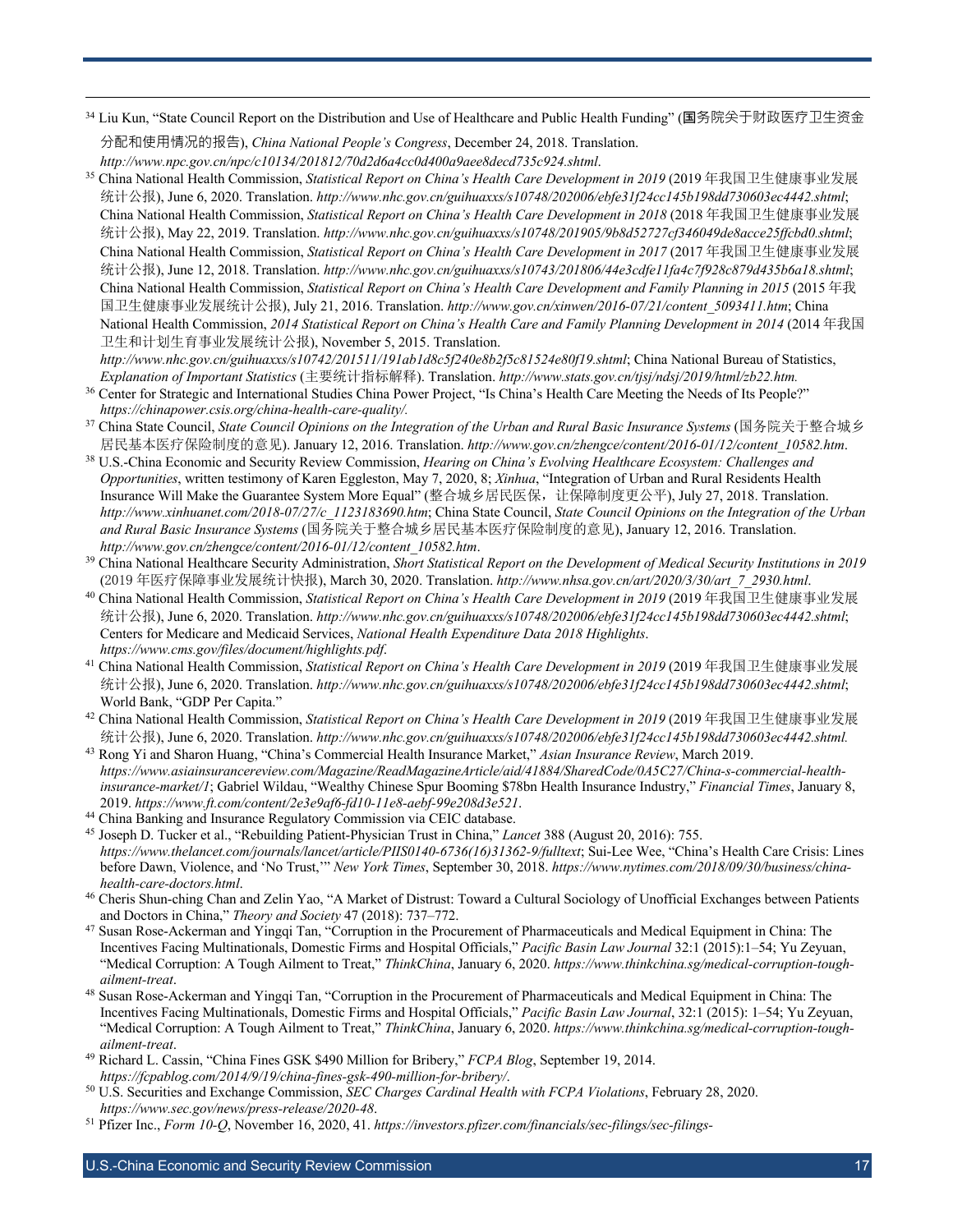<sup>34</sup> Liu Kun, "State Council Report on the Distribution and Use of Healthcare and Public Health Funding" (国务院关于财政医疗卫生资金 分配和使用情况的报告), *China National People's Congress*, December 24, 2018. Translation.

*http://www.npc.gov.cn/npc/c10134/201812/70d2d6a4cc0d400a9aee8decd735c924.shtml*. 35 China National Health Commission, *Statistical Report on China's Health Care Development in 2019* (2019 年我国卫生健康事业发展 统计公报), June 6, 2020. Translation. *http://www.nhc.gov.cn/guihuaxxs/s10748/202006/ebfe31f24cc145b198dd730603ec4442.shtml*; China National Health Commission, *Statistical Report on China's Health Care Development in 2018* (2018 年我国卫生健康事业发展 统计公报), May 22, 2019. Translation. *http://www.nhc.gov.cn/guihuaxxs/s10748/201905/9b8d52727cf346049de8acce25ffcbd0.shtml*; China National Health Commission, *Statistical Report on China's Health Care Development in 2017* (2017 年我国卫生健康事业发展 统计公报), June 12, 2018. Translation. *http://www.nhc.gov.cn/guihuaxxs/s10743/201806/44e3cdfe11fa4c7f928c879d435b6a18.shtml*; China National Health Commission, *Statistical Report on China's Health Care Development and Family Planning in 2015* (2015 年我 国卫生健康事业发展统计公报), July 21, 2016. Translation. *http://www.gov.cn/xinwen/2016-07/21/content\_5093411.htm*; China National Health Commission, *2014 Statistical Report on China's Health Care and Family Planning Development in 2014* (2014 年我国 卫生和计划生育事业发展统计公报), November 5, 2015. Translation.

*http://www.nhc.gov.cn/guihuaxxs/s10742/201511/191ab1d8c5f240e8b2f5c81524e80f19.shtml*; China National Bureau of Statistics, *Explanation of Important Statistics* (主要统计指标解释). Translation. *http://www.stats.gov.cn/tjsj/ndsj/2019/html/zb22.htm.*

- <sup>36</sup> Center for Strategic and International Studies China Power Project, "Is China's Health Care Meeting the Needs of Its People?" *https://chinapower.csis.org/china-health-care-quality/.*
- <sup>37</sup> China State Council, *State Council Opinions on the Integration of the Urban and Rural Basic Insurance Systems* (国务院关于整合城乡
- 居民基本医疗保险制度的意见). January 12, 2016. Translation. http://www.gov.cn/zhengce/content/2016-01/12/content\_10582.htm.<br><sup>38</sup> U.S.-China Economic and Security Review Commission, *Hearing on China's Evolving Healthcare Ecosystem: C Opportunities*, written testimony of Karen Eggleston, May 7, 2020, 8; *Xinhua*, "Integration of Urban and Rural Residents Health Insurance Will Make the Guarantee System More Equal" (整合城乡居民医保,让保障制度更公平), July 27, 2018. Translation. *http://www.xinhuanet.com/2018-07/27/c\_1123183690.htm*; China State Council, *State Council Opinions on the Integration of the Urban and Rural Basic Insurance Systems* (国务院关于整合城乡居民基本医疗保险制度的意见), January 12, 2016. Translation.
- *http://www.gov.cn/zhengce/content/2016-01/12/content\_10582.htm*. 39 China National Healthcare Security Administration, *Short Statistical Report on the Development of Medical Security Institutions in 2019*
- (2019年医疗保障事业发展统计快报), March 30, 2020. Translation. http://www.nhsa.gov.cn/art/2020/3/30/art\_7\_2930.html.<br><sup>40</sup> China National Health Commission, Statistical Report on China's Health Care Development in 2019 (2019年我国卫生健康事业发展 统计公报), June 6, 2020. Translation. *http://www.nhc.gov.cn/guihuaxxs/s10748/202006/ebfe31f24cc145b198dd730603ec4442.shtml*; Centers for Medicare and Medicaid Services, *National Health Expenditure Data 2018 Highlights*.
- *https://www.cms.gov/files/document/highlights.pdf*. 41 China National Health Commission, *Statistical Report on China's Health Care Development in 2019* (2019 年我国卫生健康事业发展 统计公报), June 6, 2020. Translation. *http://www.nhc.gov.cn/guihuaxxs/s10748/202006/ebfe31f24cc145b198dd730603ec4442.shtml*; World Bank, "GDP Per Capita."
- <sup>42</sup> China National Health Commission, *Statistical Report on China's Health Care Development in 2019* (2019 年我国卫生健康事业发展 统计公报), June 6, 2020. Translation. *http://www.nhc.gov.cn/guihuaxxs/s10748/202006/ebfe31f24cc145b198dd730603ec4442.shtml.*
- <sup>43</sup> Rong Yi and Sharon Huang, "China's Commercial Health Insurance Market," *Asian Insurance Review*, March 2019. *https://www.asiainsurancereview.com/Magazine/ReadMagazineArticle/aid/41884/SharedCode/0A5C27/China-s-commercial-healthinsurance-market/1*; Gabriel Wildau, "Wealthy Chinese Spur Booming \$78bn Health Insurance Industry," *Financial Times*, January 8, 2019. *https://www.ft.com/content/2e3e9af6-fd10-11e8-aebf-99e208d3e521*. 44 China Banking and Insurance Regulatory Commission via CEIC database.
- 
- <sup>45</sup> Joseph D. Tucker et al., "Rebuilding Patient-Physician Trust in China," *Lancet* 388 (August 20, 2016): 755. *https://www.thelancet.com/journals/lancet/article/PIIS0140-6736(16)31362-9/fulltext*; Sui-Lee Wee, "China's Health Care Crisis: Lines before Dawn, Violence, and 'No Trust,'" *New York Times*, September 30, 2018. *https://www.nytimes.com/2018/09/30/business/chinahealth-care-doctors.html*.
- <sup>46</sup> Cheris Shun-ching Chan and Zelin Yao, "A Market of Distrust: Toward a Cultural Sociology of Unofficial Exchanges between Patients and Doctors in China," *Theory and Society* 47 (2018): 737–772.
- <sup>47</sup> Susan Rose-Ackerman and Yingqi Tan, "Corruption in the Procurement of Pharmaceuticals and Medical Equipment in China: The Incentives Facing Multinationals, Domestic Firms and Hospital Officials," *Pacific Basin Law Journal* 32:1 (2015):1–54; Yu Zeyuan, "Medical Corruption: A Tough Ailment to Treat," *ThinkChina*, January 6, 2020. *https://www.thinkchina.sg/medical-corruption-toughailment-treat*.
- <sup>48</sup> Susan Rose-Ackerman and Yingqi Tan, "Corruption in the Procurement of Pharmaceuticals and Medical Equipment in China: The Incentives Facing Multinationals, Domestic Firms and Hospital Officials," *Pacific Basin Law Journal*, 32:1 (2015): 1–54; Yu Zeyuan, "Medical Corruption: A Tough Ailment to Treat," *ThinkChina*, January 6, 2020. *https://www.thinkchina.sg/medical-corruption-toughailment-treat*.
- <sup>49</sup> Richard L. Cassin, "China Fines GSK \$490 Million for Bribery," *FCPA Blog*, September 19, 2014. *https://fcpablog.com/2014/9/19/china-fines-gsk-490-million-for-bribery/*.
- <sup>50</sup> U.S. Securities and Exchange Commission, *SEC Charges Cardinal Health with FCPA Violations*, February 28, 2020. *https://www.sec.gov/news/press-release/2020-48*.
- <sup>51</sup> Pfizer Inc., *Form 10-Q*, November 16, 2020, 41. *https://investors.pfizer.com/financials/sec-filings/sec-filings-*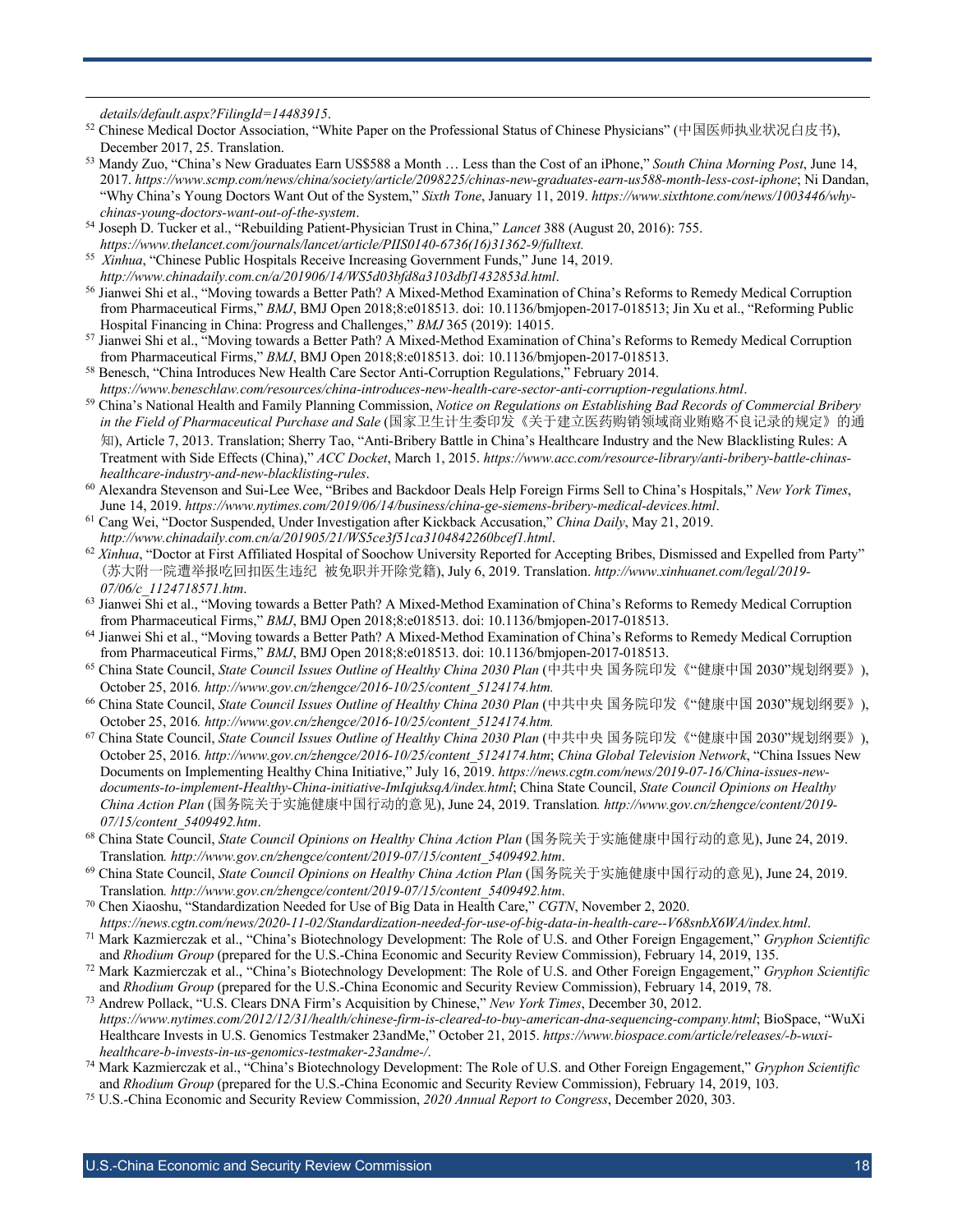- *details/default.aspx?FilingId=14483915*. 52 Chinese Medical Doctor Association, "White Paper on the Professional Status of Chinese Physicians" (中国医师执业状况白皮书), December 2017, 25. Translation.
- <sup>53</sup> Mandy Zuo, "China's New Graduates Earn US\$588 a Month … Less than the Cost of an iPhone," *South China Morning Post*, June 14, 2017. *https://www.scmp.com/news/china/society/article/2098225/chinas-new-graduates-earn-us588-month-less-cost-iphone*; Ni Dandan, "Why China's Young Doctors Want Out of the System," *Sixth Tone*, January 11, 2019. *https://www.sixthtone.com/news/1003446/whychinas-young-doctors-want-out-of-the-system*.
- <sup>54</sup> Joseph D. Tucker et al., "Rebuilding Patient-Physician Trust in China," *Lancet* 388 (August 20, 2016): 755. *https://www.thelancet.com/journals/lancet/article/PIIS0140-6736(16)31362-9/fulltext.*
- <sup>55</sup> *Xinhua*, "Chinese Public Hospitals Receive Increasing Government Funds," June 14, 2019. *http://www.chinadaily.com.cn/a/201906/14/WS5d03bfd8a3103dbf1432853d.html*.
- <sup>56</sup> Jianwei Shi et al., "Moving towards a Better Path? A Mixed-Method Examination of China's Reforms to Remedy Medical Corruption from Pharmaceutical Firms," *BMJ*, BMJ Open 2018;8:e018513. doi: 10.1136/bmjopen-2017-018513; Jin Xu et al., "Reforming Public Hospital Financing in China: Progress and Challenges," *BMJ* 365 (2019): 14015.
- <sup>57</sup> Jianwei Shi et al., "Moving towards a Better Path? A Mixed-Method Examination of China's Reforms to Remedy Medical Corruption from Pharmaceutical Firms," *BMJ*, BMJ Open 2018;8:e018513. doi: 10.1136/bmjopen-2017-018513.
- <sup>58</sup> Benesch, "China Introduces New Health Care Sector Anti-Corruption Regulations," February 2014. *https://www.beneschlaw.com/resources/china-introduces-new-health-care-sector-anti-corruption-regulations.html*.
- <sup>59</sup> China's National Health and Family Planning Commission, *Notice on Regulations on Establishing Bad Records of Commercial Bribery in the Field of Pharmaceutical Purchase and Sale* (国家卫生计生委印发《关于建立医药购销领域商业贿赂不良记录的规定》的通 知), Article 7, 2013. Translation; Sherry Tao, "Anti-Bribery Battle in China's Healthcare Industry and the New Blacklisting Rules: A Treatment with Side Effects (China)," *ACC Docket*, March 1, 2015. *https://www.acc.com/resource-library/anti-bribery-battle-chinashealthcare-industry-and-new-blacklisting-rules*.
- <sup>60</sup> Alexandra Stevenson and Sui-Lee Wee, "Bribes and Backdoor Deals Help Foreign Firms Sell to China's Hospitals," *New York Times*, June 14, 2019. *https://www.nytimes.com/2019/06/14/business/china-ge-siemens-bribery-medical-devices.html*.
- <sup>61</sup> Cang Wei, "Doctor Suspended, Under Investigation after Kickback Accusation," *China Daily*, May 21, 2019. *http://www.chinadaily.com.cn/a/201905/21/WS5ce3f51ca3104842260bcef1.html*.
- <sup>62</sup> Xinhua, "Doctor at First Affiliated Hospital of Soochow University Reported for Accepting Bribes, Dismissed and Expelled from Party" (苏大附一院遭举报吃回扣医生违纪 被免职并开除党籍), July 6, 2019. Translation. *http://www.xinhuanet.com/legal/2019- 07/06/c\_1124718571.htm*.
- <sup>63</sup> Jianwei Shi et al., "Moving towards a Better Path? A Mixed-Method Examination of China's Reforms to Remedy Medical Corruption from Pharmaceutical Firms," *BMJ*, BMJ Open 2018;8:e018513. doi: 10.1136/bmjopen-2017-018513.
- <sup>64</sup> Jianwei Shi et al., "Moving towards a Better Path? A Mixed-Method Examination of China's Reforms to Remedy Medical Corruption from Pharmaceutical Firms," *BMJ*, BMJ Open 2018;8:e018513. doi: 10.1136/bmjopen-2017-018513.
- <sup>65</sup> China State Council, *State Council Issues Outline of Healthy China 2030 Plan* (中共中央 国务院印发《"健康中国 2030"规划纲要》), October 25, 2016*. http://www.gov.cn/zhengce/2016-10/25/content\_5124174.htm.*
- <sup>66</sup> China State Council, *State Council Issues Outline of Healthy China 2030 Plan* (中共中央 国务院印发《"健康中国 2030"规划纲要》), October 25, 2016*. http://www.gov.cn/zhengce/2016-10/25/content\_5124174.htm.*
- <sup>67</sup> China State Council, *State Council Issues Outline of Healthy China 2030 Plan* (中共中央 国务院印发《"健康中国 2030"规划纲要》), October 25, 2016*. http://www.gov.cn/zhengce/2016-10/25/content\_5124174.htm*; *China Global Television Network*, "China Issues New Documents on Implementing Healthy China Initiative," July 16, 2019. *https://news.cgtn.com/news/2019-07-16/China-issues-newdocuments-to-implement-Healthy-China-initiative-ImIqjuksqA/index.html*; China State Council, *State Council Opinions on Healthy China Action Plan* (国务院关于实施健康中国行动的意见), June 24, 2019. Translation*. http://www.gov.cn/zhengce/content/2019-*
- *07/15/content\_5409492.htm*. 68 China State Council, *State Council Opinions on Healthy China Action Plan* (国务院关于实施健康中国行动的意见), June 24, 2019. Translation*. http://www.gov.cn/zhengce/content/2019-07/15/content\_5409492.htm*. 69 China State Council, *State Council Opinions on Healthy China Action Plan* (国务院关于实施健康中国行动的意见), June 24, 2019.
- 
- Translation*. http://www.gov.cn/zhengce/content/2019-07/15/content\_5409492.htm*. 70 Chen Xiaoshu, "Standardization Needed for Use of Big Data in Health Care," *CGTN*, November 2, 2020.
- *https://news.cgtn.com/news/2020-11-02/Standardization-needed-for-use-of-big-data-in-health-care--V68snbX6WA/index.html*. <sup>71</sup> Mark Kazmierczak et al., "China's Biotechnology Development: The Role of U.S. and Other Foreign Engagement," *Gryphon Scientific*
- and *Rhodium Group* (prepared for the U.S.-China Economic and Security Review Commission), February 14, 2019, 135. <sup>72</sup> Mark Kazmierczak et al., "China's Biotechnology Development: The Role of U.S. and Other Foreign Engagement," *Gryphon Scientific*
- and *Rhodium Group* (prepared for the U.S.-China Economic and Security Review Commission), February 14, 2019, 78.
- <sup>73</sup> Andrew Pollack, "U.S. Clears DNA Firm's Acquisition by Chinese," *New York Times*, December 30, 2012. *https://www.nytimes.com/2012/12/31/health/chinese-firm-is-cleared-to-buy-american-dna-sequencing-company.html*; BioSpace, "WuXi Healthcare Invests in U.S. Genomics Testmaker 23andMe," October 21, 2015. *https://www.biospace.com/article/releases/-b-wuxihealthcare-b-invests-in-us-genomics-testmaker-23andme-/*.
- <sup>74</sup> Mark Kazmierczak et al., "China's Biotechnology Development: The Role of U.S. and Other Foreign Engagement," *Gryphon Scientific*  and *Rhodium Group* (prepared for the U.S.-China Economic and Security Review Commission), February 14, 2019, 103.
- <sup>75</sup> U.S.-China Economic and Security Review Commission, *2020 Annual Report to Congress*, December 2020, 303.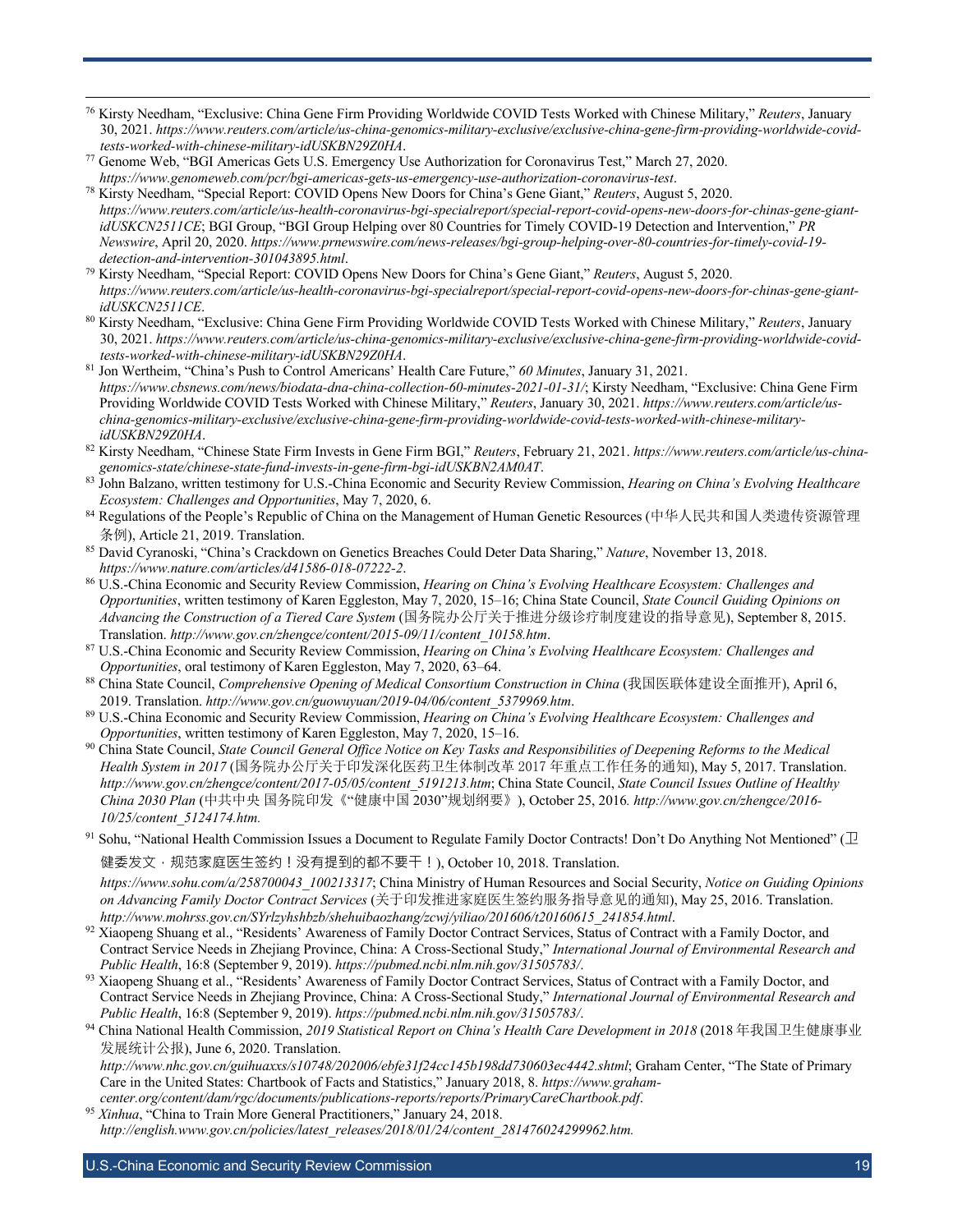- <sup>76</sup> Kirsty Needham, "Exclusive: China Gene Firm Providing Worldwide COVID Tests Worked with Chinese Military," *Reuters*, January 30, 2021. *https://www.reuters.com/article/us-china-genomics-military-exclusive/exclusive-china-gene-firm-providing-worldwide-covidtests-worked-with-chinese-military-idUSKBN29Z0HA*.
- <sup>77</sup> Genome Web, "BGI Americas Gets U.S. Emergency Use Authorization for Coronavirus Test," March 27, 2020. *https://www.genomeweb.com/pcr/bgi-americas-gets-us-emergency-use-authorization-coronavirus-test*.
- <sup>78</sup> Kirsty Needham, "Special Report: COVID Opens New Doors for China's Gene Giant," *Reuters*, August 5, 2020. *https://www.reuters.com/article/us-health-coronavirus-bgi-specialreport/special-report-covid-opens-new-doors-for-chinas-gene-giantidUSKCN2511CE*; BGI Group, "BGI Group Helping over 80 Countries for Timely COVID-19 Detection and Intervention," *PR Newswire*, April 20, 2020. *https://www.prnewswire.com/news-releases/bgi-group-helping-over-80-countries-for-timely-covid-19 detection-and-intervention-301043895.html*.
- <sup>79</sup> Kirsty Needham, "Special Report: COVID Opens New Doors for China's Gene Giant," *Reuters*, August 5, 2020. *https://www.reuters.com/article/us-health-coronavirus-bgi-specialreport/special-report-covid-opens-new-doors-for-chinas-gene-giantidUSKCN2511CE*.
- <sup>80</sup> Kirsty Needham, "Exclusive: China Gene Firm Providing Worldwide COVID Tests Worked with Chinese Military," *Reuters*, January 30, 2021. *https://www.reuters.com/article/us-china-genomics-military-exclusive/exclusive-china-gene-firm-providing-worldwide-covidtests-worked-with-chinese-military-idUSKBN29Z0HA*.
- <sup>81</sup> Jon Wertheim, "China's Push to Control Americans' Health Care Future," *60 Minutes*, January 31, 2021. *https://www.cbsnews.com/news/biodata-dna-china-collection-60-minutes-2021-01-31/*; Kirsty Needham, "Exclusive: China Gene Firm Providing Worldwide COVID Tests Worked with Chinese Military," *Reuters*, January 30, 2021. *https://www.reuters.com/article/uschina-genomics-military-exclusive/exclusive-china-gene-firm-providing-worldwide-covid-tests-worked-with-chinese-militaryidUSKBN29Z0HA*.
- <sup>82</sup> Kirsty Needham, "Chinese State Firm Invests in Gene Firm BGI," *Reuters*, February 21, 2021. *https://www.reuters.com/article/us-chinagenomics-state/chinese-state-fund-invests-in-gene-firm-bgi-idUSKBN2AM0AT*.
- 83 John Balzano, written testimony for U.S.-China Economic and Security Review Commission, *Hearing on China's Evolving Healthcare Ecosystem: Challenges and Opportunities*, May 7, 2020, 6.
- <sup>84</sup> Regulations of the People's Republic of China on the Management of Human Genetic Resources (中华人民共和国人类遗传资源管理 条例), Article 21, 2019. Translation.
- <sup>85</sup> David Cyranoski, "China's Crackdown on Genetics Breaches Could Deter Data Sharing," *Nature*, November 13, 2018. *https://www.nature.com/articles/d41586-018-07222-2*.
- <sup>86</sup> U.S.-China Economic and Security Review Commission, *Hearing on China's Evolving Healthcare Ecosystem: Challenges and Opportunities*, written testimony of Karen Eggleston, May 7, 2020, 15–16; China State Council, *State Council Guiding Opinions on Advancing the Construction of a Tiered Care System* (国务院办公厅关于推进分级诊疗制度建设的指导意见), September 8, 2015.
- Translation. *http://www.gov.cn/zhengce/content/2015-09/11/content\_10158.htm*. 87 U.S.-China Economic and Security Review Commission, *Hearing on China's Evolving Healthcare Ecosystem: Challenges and*
- *Opportunities*, oral testimony of Karen Eggleston, May 7, 2020, 63–64.<br><sup>88</sup> China State Council, *Comprehensive Opening of Medical Consortium Construction in China* (我国医联体建设全面推开), April 6, 2019. Translation. *http://www.gov.cn/guowuyuan/2019-04/06/content\_5379969.htm*. 89 U.S.-China Economic and Security Review Commission, *Hearing on China's Evolving Healthcare Ecosystem: Challenges and*
- 
- *Opportunities*, written testimony of Karen Eggleston, May 7, 2020, 15–16.<br><sup>90</sup> China State Council, *State Council General Office Notice on Key Tasks and Responsibilities of Deepening Reforms to the Medical Health System in 2017* (国务院办公厅关于印发深化医药卫生体制改革 2017 年重点工作任务的通知), May 5, 2017. Translation. *http://www.gov.cn/zhengce/content/2017-05/05/content\_5191213.htm*; China State Council, *State Council Issues Outline of Healthy China 2030 Plan* (中共中央 国务院印发《"健康中国 2030"规划纲要》), October 25, 2016*. http://www.gov.cn/zhengce/2016- 10/25/content\_5124174.htm.*
- 91 Sohu, "National Health Commission Issues a Document to Regulate Family Doctor Contracts! Don't Do Anything Not Mentioned" ( $\mathbb D$

健委发文,规范家庭医生签约!没有提到的都不要干!), October 10, 2018. Translation.

*https://www.sohu.com/a/258700043\_100213317*; China Ministry of Human Resources and Social Security, *Notice on Guiding Opinions on Advancing Family Doctor Contract Services* (关于印发推进家庭医生签约服务指导意见的通知), May 25, 2016. Translation.

- 92 Xiaopeng Shuang et al., "Residents' Awareness of Family Doctor Contract Services, Status of Contract with a Family Doctor, and Contract Service Needs in Zhejiang Province, China: A Cross-Sectional Study," *International Journal of Environmental Research and Public Health*, 16:8 (September 9, 2019). *https://pubmed.ncbi.nlm.nih.gov/31505783/*.
- 93 Xiaopeng Shuang et al., "Residents' Awareness of Family Doctor Contract Services, Status of Contract with a Family Doctor, and Contract Service Needs in Zhejiang Province, China: A Cross-Sectional Study," *International Journal of Environmental Research and Public Health*, 16:8 (September 9, 2019). *https://pubmed.ncbi.nlm.nih.gov/31505783/*.
- <sup>94</sup> China National Health Commission, *2019 Statistical Report on China's Health Care Development in 2018* (2018 年我国卫生健康事业 发展统计公报), June 6, 2020. Translation.

*http://www.nhc.gov.cn/guihuaxxs/s10748/202006/ebfe31f24cc145b198dd730603ec4442.shtml*; Graham Center, "The State of Primary Care in the United States: Chartbook of Facts and Statistics," January 2018, 8. *https://www.grahamcenter.org/content/dam/rgc/documents/publications-reports/reports/PrimaryCareChartbook.pdf*.

<sup>95</sup> Xinhua, "China to Train More General Practitioners," January 24, 2018. *http://english.www.gov.cn/policies/latest\_releases/2018/01/24/content\_281476024299962.htm.*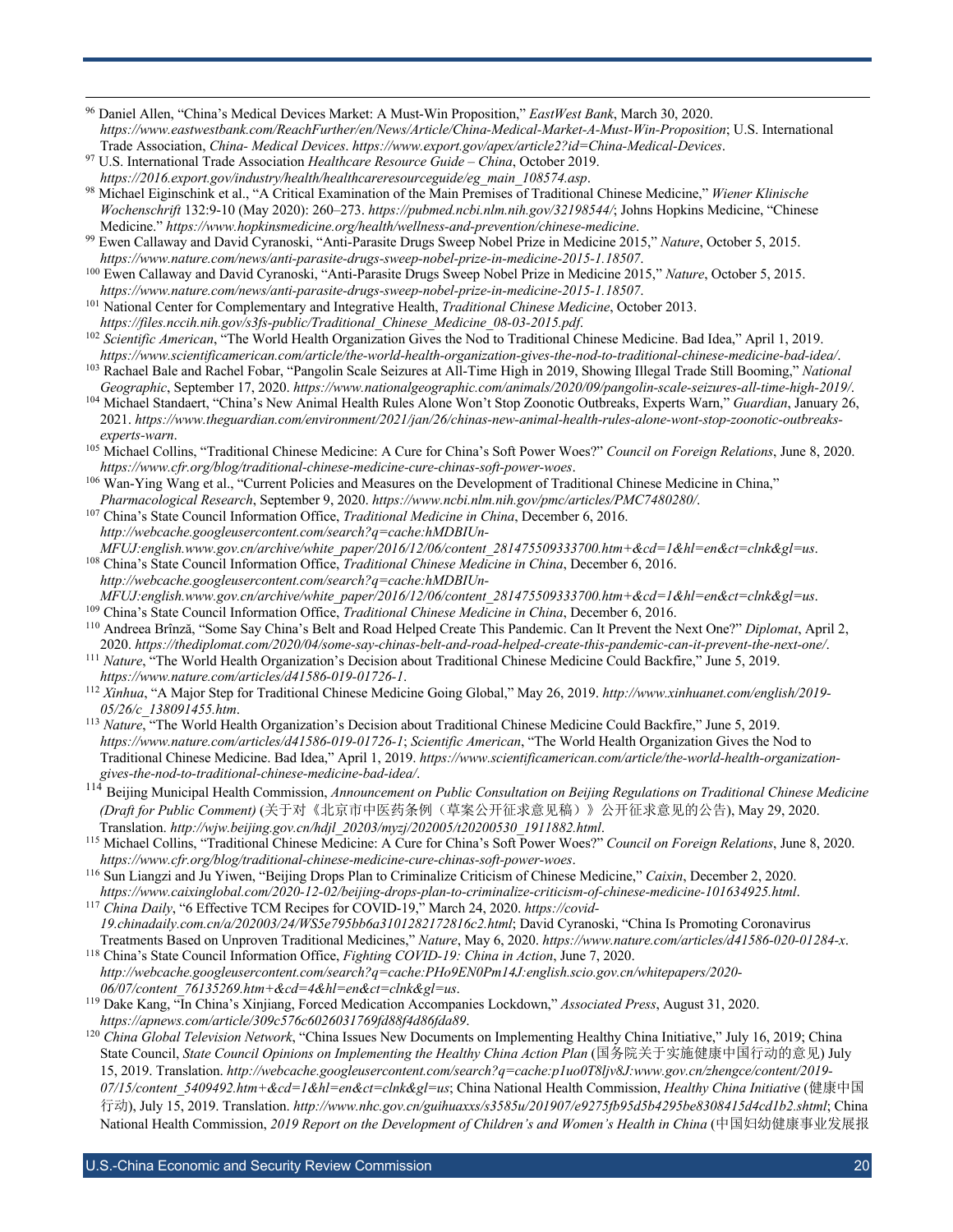<sup>96</sup> Daniel Allen, "China's Medical Devices Market: A Must-Win Proposition," *EastWest Bank*, March 30, 2020. *https://www.eastwestbank.com/ReachFurther/en/News/Article/China-Medical-Market-A-Must-Win-Proposition*; U.S. International Trade Association, *China- Medical Devices*. *https://www.export.gov/apex/article2?id=China-Medical-Devices*.

<sup>98</sup> Michael Eiginschink et al., "A Critical Examination of the Main Premises of Traditional Chinese Medicine," *Wiener Klinische Wochenschrift* 132:9-10 (May 2020): 260–273. *https://pubmed.ncbi.nlm.nih.gov/32198544/*; Johns Hopkins Medicine, "Chinese Medicine." *https://www.hopkinsmedicine.org/health/wellness-and-prevention/chinese-medicine*.

<sup>99</sup> Ewen Callaway and David Cyranoski, "Anti-Parasite Drugs Sweep Nobel Prize in Medicine 2015," *Nature*, October 5, 2015. *https://www.nature.com/news/anti-parasite-drugs-sweep-nobel-prize-in-medicine-2015-1.18507*.

<sup>100</sup> Ewen Callaway and David Cyranoski, "Anti-Parasite Drugs Sweep Nobel Prize in Medicine 2015," *Nature*, October 5, 2015. *https://www.nature.com/news/anti-parasite-drugs-sweep-nobel-prize-in-medicine-2015-1.18507*.

<sup>101</sup> National Center for Complementary and Integrative Health, *Traditional Chinese Medicine*, October 2013.

*https://files.nccih.nih.gov/s3fs-public/Traditional\_Chinese\_Medicine\_08-03-2015.pdf*. <sup>102</sup> Scientific American, "The World Health Organization Gives the Nod to Traditional Chinese Medicine. Bad Idea," April 1, 2019. *https://www.scientificamerican.com/article/the-world-health-organization-gives-the-nod-to-traditional-chinese-medicine-bad-idea/*.

<sup>103</sup> Rachael Bale and Rachel Fobar, "Pangolin Scale Seizures at All-Time High in 2019, Showing Illegal Trade Still Booming," *National Geographic*, September 17, 2020. *https://www.nationalgeographic.com/animals/2020/09/pangolin-scale-seizures-all-time-high-2019/*.

<sup>104</sup> Michael Standaert, "China's New Animal Health Rules Alone Won't Stop Zoonotic Outbreaks, Experts Warn," *Guardian*, January 26, 2021. *https://www.theguardian.com/environment/2021/jan/26/chinas-new-animal-health-rules-alone-wont-stop-zoonotic-outbreaksexperts-warn*.

<sup>105</sup> Michael Collins, "Traditional Chinese Medicine: A Cure for China's Soft Power Woes?" *Council on Foreign Relations*, June 8, 2020. *https://www.cfr.org/blog/traditional-chinese-medicine-cure-chinas-soft-power-woes*.

106 Wan-Ying Wang et al., "Current Policies and Measures on the Development of Traditional Chinese Medicine in China," *Pharmacological Research*, September 9, 2020. *https://www.ncbi.nlm.nih.gov/pmc/articles/PMC7480280/*.

<sup>107</sup> China's State Council Information Office, *Traditional Medicine in China*, December 6, 2016. *http://webcache.googleusercontent.com/search?q=cache:hMDBIUn-*

*MFUJ:english.www.gov.cn/archive/white\_paper/2016/12/06/content\_281475509333700.htm+&cd=1&hl=en&ct=clnk&gl=us*. <sup>108</sup> China's State Council Information Office, *Traditional Chinese Medicine in China*, December 6, 2016. *http://webcache.googleusercontent.com/search?q=cache:hMDBIUn-*

*MFUJ:english.www.gov.cn/archive/white\_paper/2016/12/06/content\_281475509333700.htm+&cd=1&hl=en&ct=clnk&gl=us*. <sup>109</sup> China's State Council Information Office, *Traditional Chinese Medicine in China*, December 6, 2016.

<sup>110</sup> Andreea Brînză, "Some Say China's Belt and Road Helped Create This Pandemic. Can It Prevent the Next One?" *Diplomat*, April 2, 2020. *https://thediplomat.com/2020/04/some-say-chinas-belt-and-road-helped-create-this-pandemic-can-it-prevent-the-next-one/*.

<sup>111</sup> *Nature*, "The World Health Organization's Decision about Traditional Chinese Medicine Could Backfire," June 5, 2019. *https://www.nature.com/articles/d41586-019-01726-1*.

<sup>112</sup> *Xinhua*, "A Major Step for Traditional Chinese Medicine Going Global," May 26, 2019. *http://www.xinhuanet.com/english/2019- 05/26/c\_138091455.htm*.

<sup>113</sup> *Nature*, "The World Health Organization's Decision about Traditional Chinese Medicine Could Backfire," June 5, 2019. *https://www.nature.com/articles/d41586-019-01726-1*; *Scientific American*, "The World Health Organization Gives the Nod to Traditional Chinese Medicine. Bad Idea," April 1, 2019. *https://www.scientificamerican.com/article/the-world-health-organizationgives-the-nod-to-traditional-chinese-medicine-bad-idea/*.<br><sup>114</sup> D<sub>2</sub> *m*<sup>2</sup> *international-chinese-medicine-bad-idea/*.

<sup>114</sup> Beijing Municipal Health Commission, *Announcement on Public Consultation on Beijing Regulations on Traditional Chinese Medicine (Draft for Public Comment)* (关于对《北京市中医药条例(草案公开征求意见稿)》公开征求意见的公告), May 29, 2020. Translation. *http://wjw.beijing.gov.cn/hdjl\_20203/myzj/202005/t20200530\_1911882.html*.

<sup>115</sup> Michael Collins, "Traditional Chinese Medicine: A Cure for China's Soft Power Woes?" *Council on Foreign Relations*, June 8, 2020. *https://www.cfr.org/blog/traditional-chinese-medicine-cure-chinas-soft-power-woes*.

<sup>116</sup> Sun Liangzi and Ju Yiwen, "Beijing Drops Plan to Criminalize Criticism of Chinese Medicine," *Caixin*, December 2, 2020. *https://www.caixinglobal.com/2020-12-02/beijing-drops-plan-to-criminalize-criticism-of-chinese-medicine-101634925.html*.

<sup>117</sup> *China Daily*, "6 Effective TCM Recipes for COVID-19," March 24, 2020. *https://covid-19.chinadaily.com.cn/a/202003/24/WS5e795bb6a3101282172816c2.html*; David Cyranoski, "China Is Promoting Coronavirus Treatments Based on Unproven Traditional Medicines," *Nature*, May 6, 2020. *https://www.nature.com/articles/d41586-020-01284-x*.

<sup>118</sup> China's State Council Information Office, *Fighting COVID-19: China in Action*, June 7, 2020. *http://webcache.googleusercontent.com/search?q=cache:PHo9EN0Pm14J:english.scio.gov.cn/whitepapers/2020- 06/07/content\_76135269.htm+&cd=4&hl=en&ct=clnk&gl=us*.

<sup>119</sup> Dake Kang, "In China's Xinjiang, Forced Medication Accompanies Lockdown," *Associated Press*, August 31, 2020. *https://apnews.com/article/309c576c6026031769fd88f4d86fda89*.

<sup>120</sup> *China Global Television Network*, "China Issues New Documents on Implementing Healthy China Initiative," July 16, 2019; China State Council, *State Council Opinions on Implementing the Healthy China Action Plan* (国务院关于实施健康中国行动的意见) July 15, 2019. Translation. *http://webcache.googleusercontent.com/search?q=cache:p1uo0T8ljv8J:www.gov.cn/zhengce/content/2019- 07/15/content\_5409492.htm+&cd=1&hl=en&ct=clnk&gl=us*; China National Health Commission, *Healthy China Initiative* (健康中国 行动), July 15, 2019. Translation. *http://www.nhc.gov.cn/guihuaxxs/s3585u/201907/e9275fb95d5b4295be8308415d4cd1b2.shtml*; China National Health Commission, *2019 Report on the Development of Children's and Women's Health in China* (中国妇幼健康事业发展报

U.S.-China Economic and Security Review Commission **Commission** and Commission and Commission and Commission and Co

<sup>97</sup> U.S. International Trade Association *Healthcare Resource Guide – China*, October 2019. *https://2016.export.gov/industry/health/healthcareresourceguide/eg\_main\_108574.asp*.